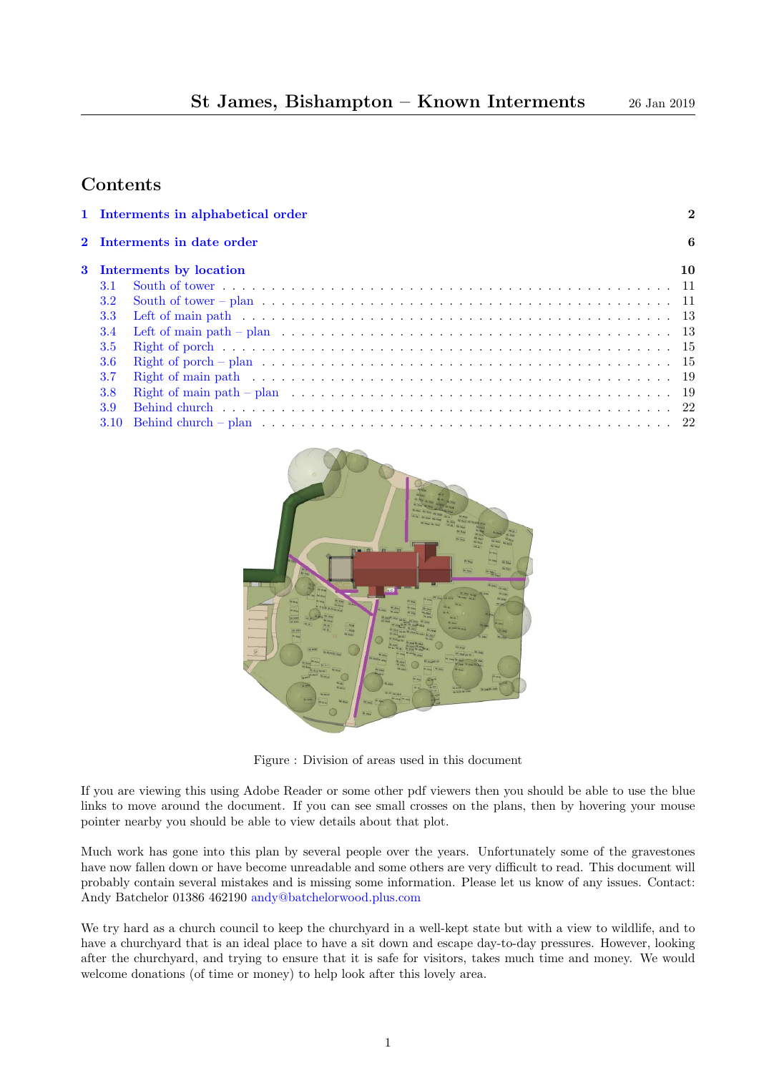### Contents

| 1 Interments in alphabetical order<br>$\overline{2}$ |                                     |  |  |  |  |  |  |  |
|------------------------------------------------------|-------------------------------------|--|--|--|--|--|--|--|
| 2 Interments in date order                           |                                     |  |  |  |  |  |  |  |
|                                                      | 6<br>10<br>3 Interments by location |  |  |  |  |  |  |  |
| 3.1                                                  |                                     |  |  |  |  |  |  |  |
| 3.2                                                  |                                     |  |  |  |  |  |  |  |
| 3.3 <sub>1</sub>                                     |                                     |  |  |  |  |  |  |  |
| 3.4                                                  |                                     |  |  |  |  |  |  |  |
| 3.5                                                  |                                     |  |  |  |  |  |  |  |
| 3.6                                                  |                                     |  |  |  |  |  |  |  |
| 3.7                                                  |                                     |  |  |  |  |  |  |  |
| 3.8                                                  |                                     |  |  |  |  |  |  |  |
| 3.9                                                  |                                     |  |  |  |  |  |  |  |
|                                                      |                                     |  |  |  |  |  |  |  |



Figure : Division of areas used in this document

If you are viewing this using Adobe Reader or some other pdf viewers then you should be able to use the blue links to move around the document. If you can see small crosses on the plans, then by hovering your mouse pointer nearby you should be able to view details about that plot.

Much work has gone into this plan by several people over the years. Unfortunately some of the gravestones have now fallen down or have become unreadable and some others are very difficult to read. This document will probably contain several mistakes and is missing some information. Please let us know of any issues. Contact: Andy Batchelor 01386 462190 [andy@batchelorwood.plus.com](mailto:andy@batchelorwood.plus.com)

We try hard as a church council to keep the churchyard in a well-kept state but with a view to wildlife, and to have a churchyard that is an ideal place to have a sit down and escape day-to-day pressures. However, looking after the churchyard, and trying to ensure that it is safe for visitors, takes much time and money. We would welcome donations (of time or money) to help look after this lovely area.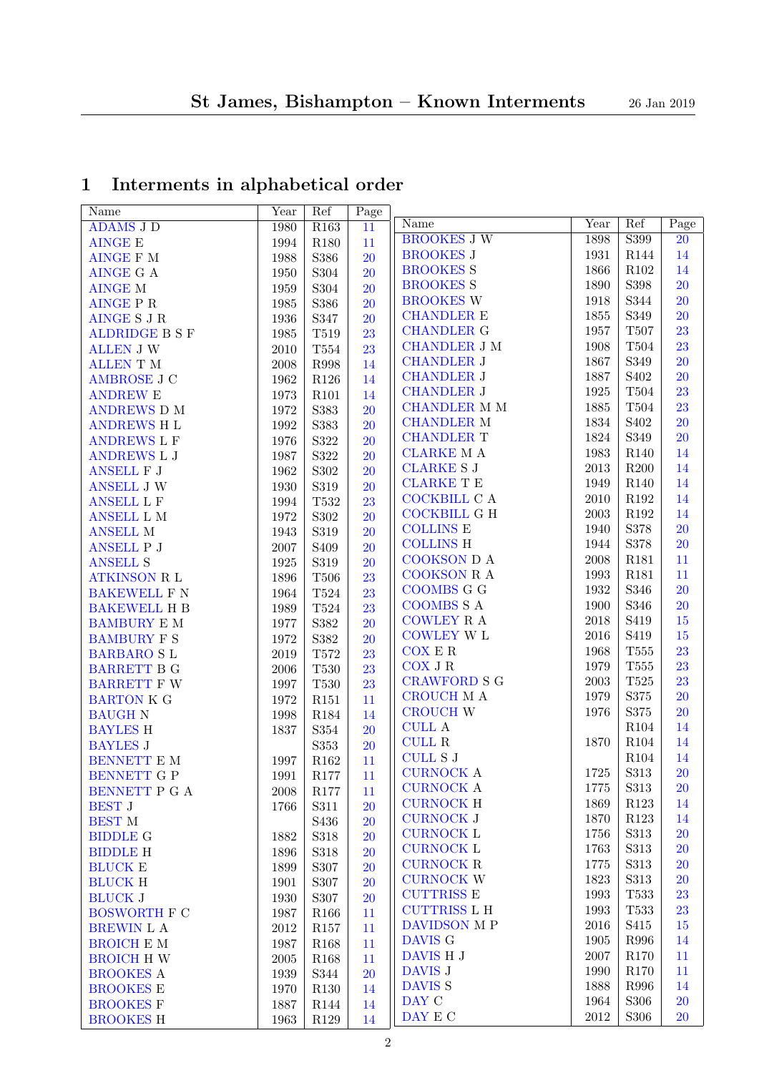# <span id="page-1-0"></span>1 Interments in alphabetical order

| Name                  | Year     | Ref              | Page      |                     |              |                  |           |
|-----------------------|----------|------------------|-----------|---------------------|--------------|------------------|-----------|
| <b>ADAMS J D</b>      | 1980     | R <sub>163</sub> | 11        | Name                | Year         | Ref              | Page      |
| <b>AINGE E</b>        | 1994     | R <sub>180</sub> | 11        | <b>BROOKES J W</b>  | 1898         | S399             | 20        |
| <b>AINGE F M</b>      | 1988     | S386             | 20        | <b>BROOKES J</b>    | 1931         | R144             | 14        |
| <b>AINGE G A</b>      | 1950     | S304             | <b>20</b> | <b>BROOKES S</b>    | 1866         | R102             | 14        |
| <b>AINGE M</b>        | 1959     | S304             | <b>20</b> | <b>BROOKES S</b>    | 1890         | S398             | 20        |
| <b>AINGE P R</b>      | 1985     | S386             | <b>20</b> | <b>BROOKES W</b>    | 1918         | S344             | 20        |
| <b>AINGE S J R</b>    | 1936     | S347             | <b>20</b> | <b>CHANDLER E</b>   | 1855         | S349             | 20        |
| <b>ALDRIDGE B S F</b> | 1985     | T519             | 23        | <b>CHANDLER G</b>   | 1957         | <b>T507</b>      | 23        |
| <b>ALLEN J W</b>      | $2010\,$ | $\rm{T}554$      | 23        | <b>CHANDLER J M</b> | 1908         | T504             | 23        |
| <b>ALLEN T M</b>      | 2008     | R998             | 14        | <b>CHANDLER J</b>   | 1867         | S349             | 20        |
| <b>AMBROSE J C</b>    | 1962     | $\rm R126$       | 14        | <b>CHANDLER J</b>   | 1887         | S <sub>402</sub> | 20        |
| <b>ANDREW E</b>       | 1973     | R101             | 14        | <b>CHANDLER J</b>   | 1925         | T504             | 23        |
| <b>ANDREWS D M</b>    | 1972     | S383             | <b>20</b> | <b>CHANDLER M M</b> | 1885         | T504             | 23        |
| <b>ANDREWS H L</b>    | 1992     | S383             | <b>20</b> | <b>CHANDLER M</b>   | 1834         | S <sub>402</sub> | 20        |
| <b>ANDREWS L F</b>    | 1976     | S322             | <b>20</b> | <b>CHANDLER T</b>   | 1824         | S349             | 20        |
| ANDREWS L J           | 1987     | S322             | <b>20</b> | <b>CLARKE MA</b>    | 1983         | R <sub>140</sub> | 14        |
| ANSELL F J            | 1962     | $\rm S302$       | <b>20</b> | <b>CLARKE S J</b>   | 2013         | R200             | 14        |
| <b>ANSELL J W</b>     | 1930     | S319             | <b>20</b> | <b>CLARKE T E</b>   | 1949         | R <sub>140</sub> | 14        |
| <b>ANSELL L F</b>     | 1994     | T532             | 23        | COCKBILL C A        | 2010         | R192             | 14        |
| ANSELL L M            | 1972     | $\rm S302$       | <b>20</b> | <b>COCKBILL G H</b> | 2003         | R192             | 14        |
| <b>ANSELL M</b>       | 1943     | S319             | <b>20</b> | <b>COLLINS E</b>    | 1940         | S378             | 20        |
| ANSELL P J            | 2007     | S <sub>409</sub> | <b>20</b> | <b>COLLINS H</b>    | 1944         | S378             | 20        |
| <b>ANSELL S</b>       | 1925     | S319             | <b>20</b> | COOKSON D A         | 2008         | R181             | 11        |
| <b>ATKINSON R L</b>   | 1896     | <b>T506</b>      | 23        | <b>COOKSON R A</b>  | 1993         | R181             | 11        |
| <b>BAKEWELL F N</b>   | 1964     | $\rm{T}524$      | 23        | <b>COOMBS G G</b>   | 1932         | S346             | 20        |
| <b>BAKEWELL H B</b>   | 1989     | T524             | 23        | <b>COOMBS S A</b>   | 1900         | S346             | 20        |
| <b>BAMBURY E M</b>    | 1977     | S382             | 20        | COWLEY R A          | 2018         | S419             | 15        |
|                       |          |                  |           | <b>COWLEY W L</b>   | 2016         | S419             | 15        |
| <b>BAMBURY F S</b>    | 1972     | S382             | 20        | COX E R             | 1968         | <b>T555</b>      | 23        |
| <b>BARBARO SL</b>     | 2019     | T572             | 23        | COX J R             | 1979         | $\rm{T}555$      | 23        |
| <b>BARRETT B G</b>    | 2006     | <b>T530</b>      | 23        | <b>CRAWFORD S G</b> | 2003         | $\rm{T}525$      | 23        |
| <b>BARRETT F W</b>    | 1997     | $\rm T530$       | 23        | CROUCH M A          | 1979         | S375             | 20        |
| <b>BARTON K G</b>     | 1972     | R <sub>151</sub> | 11        | <b>CROUCH W</b>     | 1976         | S375             | 20        |
| <b>BAUGH N</b>        | 1998     | R184             | 14        | <b>CULL A</b>       |              | R104             | 14        |
| <b>BAYLES H</b>       | 1837     | S354             | <b>20</b> | $\textsc{CULL}$ R   | 1870         | R104             | 14        |
| <b>BAYLES J</b>       |          | S353             | <b>20</b> | <b>CULL S J</b>     |              | R <sub>104</sub> | 14        |
| BENNETT E M           | 1997     | R162             | 11        | <b>CURNOCK A</b>    | 1725         | S313             | 20        |
| BENNETT G P           | 1991     | $\rm R177$       | $11\,$    | <b>CURNOCK A</b>    | 1775         | S313             | <b>20</b> |
| BENNETT P G A         | 2008     | R177             | 11        | <b>CURNOCK H</b>    |              |                  |           |
| <b>BEST J</b>         | 1766     | S311             | <b>20</b> | <b>CURNOCK J</b>    | 1869<br>1870 | R123<br>R123     | 14<br>14  |
| <b>BEST M</b>         |          | S436             | <b>20</b> |                     |              |                  |           |
| <b>BIDDLE G</b>       | 1882     | S318             | <b>20</b> | <b>CURNOCK L</b>    | 1756         | $\rm S313$       | <b>20</b> |
| <b>BIDDLE H</b>       | 1896     | S318             | <b>20</b> | <b>CURNOCK L</b>    | 1763         | $\rm S313$       | <b>20</b> |
| <b>BLUCK E</b>        | 1899     | S307             | <b>20</b> | <b>CURNOCK R</b>    | 1775         | $\rm S313$       | <b>20</b> |
| <b>BLUCK H</b>        | 1901     | S307             | <b>20</b> | <b>CURNOCK W</b>    | 1823         | $\rm S313$       | <b>20</b> |
| <b>BLUCK J</b>        | 1930     | S307             | <b>20</b> | <b>CUTTRISS E</b>   | 1993         | <b>T533</b>      | 23        |
| <b>BOSWORTH F C</b>   | 1987     | R <sub>166</sub> | 11        | <b>CUTTRISS L H</b> | 1993         | T533             | 23        |
| BREWIN L A            | $2012\,$ | R <sub>157</sub> | 11        | DAVIDSON M P        | 2016         | S415             | 15        |
| <b>BROICH E M</b>     | 1987     | R <sub>168</sub> | 11        | DAVIS G             | 1905         | R996             | 14        |
| <b>BROICH H W</b>     | 2005     | R <sub>168</sub> | 11        | DAVIS H J           | 2007         | R170             | 11        |
| <b>BROOKES A</b>      | 1939     | S344             | <b>20</b> | DAVIS J             | 1990         | R170             | 11        |
| <b>BROOKES E</b>      | 1970     | R130             | 14        | DAVIS <sub>S</sub>  | 1888         | R996             | 14        |
| <b>BROOKES F</b>      | 1887     | R144             | 14        | DAY C               | 1964         | S306             | <b>20</b> |
| <b>BROOKES H</b>      | 1963     | R129             | 14        | DAY E C             | $\,2012$     | $\rm S306$       | <b>20</b> |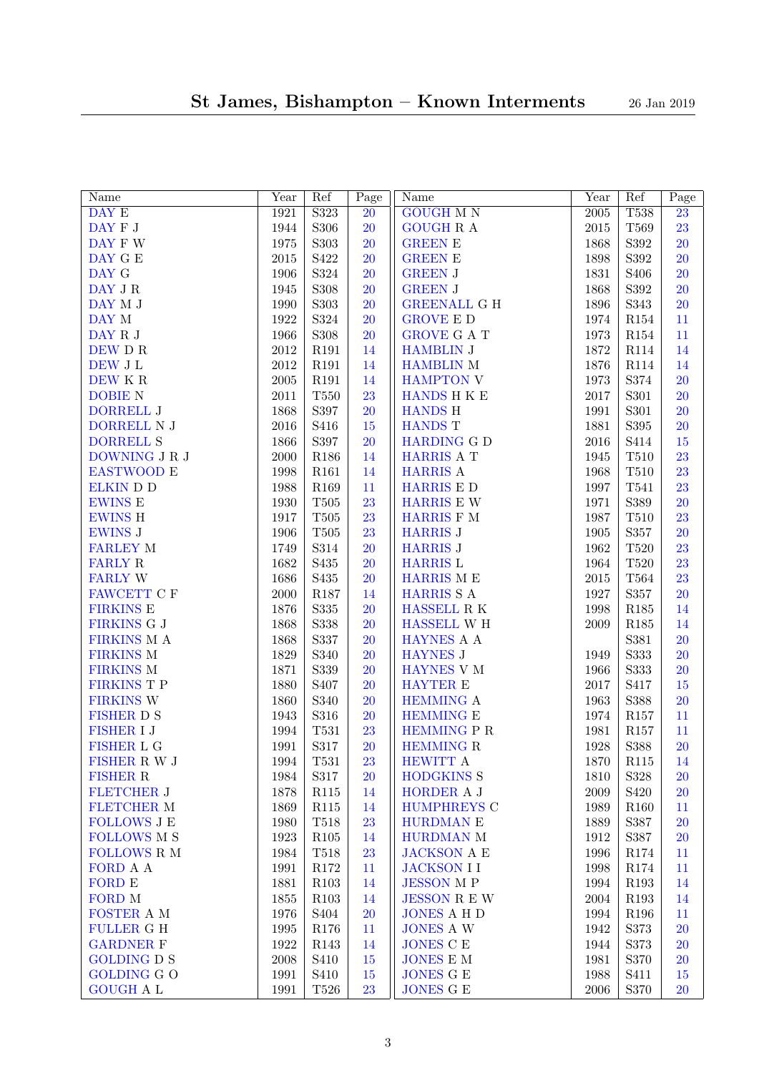| Name                            | Year     | Ref              | $\overline{P}$ age | Name                      | Year       | Ref              | Page            |
|---------------------------------|----------|------------------|--------------------|---------------------------|------------|------------------|-----------------|
| DAY E                           | 1921     | S323             | 20                 | <b>GOUGH M N</b>          | 2005       | <b>T538</b>      | $\overline{23}$ |
| DAY ${\cal F}$ J                | 1944     | S306             | <b>20</b>          | <b>GOUGH R A</b>          | $2015\,$   | T569             | 23              |
| DAY F W                         | $1975\,$ | S303             | 20                 | <b>GREEN E</b>            | 1868       | S392             | 20              |
| DAY G $\boldsymbol{\mathrm{E}}$ | $2015\,$ | S422             | 20                 | GREEN E                   | 1898       | S392             | 20              |
| DAY G                           | 1906     | S324             | 20                 | <b>GREEN J</b>            | 1831       | S <sub>406</sub> | 20              |
| DAY J ${\bf R}$                 | 1945     | <b>S308</b>      | 20                 | <b>GREEN J</b>            | 1868       | S392             | 20              |
| DAY M J                         | 1990     | S303             | 20                 | <b>GREENALL G H</b>       | 1896       | S343             | 20              |
| DAY M                           | 1922     | S324             | 20                 | <b>GROVE E D</b>          | 1974       | ${\it R}154$     | 11              |
| DAY R J                         | 1966     | S308             | 20                 | <b>GROVE G A T</b>        | 1973       | ${\it R}154$     | 11              |
| DEW D R                         | $2012\,$ | R191             | 14                 | <b>HAMBLIN J</b>          | 1872       | R114             | 14              |
| DEW J L                         | $\>2012$ | R191             | 14                 | <b>HAMBLIN M</b>          | 1876       | R114             | 14              |
| DEW K ${\bf R}$                 | 2005     | R191             | 14                 | <b>HAMPTON V</b>          | 1973       | S374             | 20              |
| <b>DOBIE N</b>                  | $2011\,$ | <b>T550</b>      | 23                 | HANDS H K E               | 2017       | S301             | 20              |
| <b>DORRELL J</b>                | 1868     | S397             | <b>20</b>          | <b>HANDS H</b>            | 1991       | S301             | 20              |
| DORRELL N J                     | $\,2016$ | S416             | 15                 | <b>HANDS T</b>            | 1881       | S395             | <b>20</b>       |
| <b>DORRELL S</b>                | 1866     | S397             | 20                 | <b>HARDING G D</b>        | 2016       | S414             | $15\,$          |
| DOWNING J R J                   | 2000     | R186             | 14                 | <b>HARRIS A T</b>         | 1945       | $\rm T510$       | 23              |
| EASTWOOD E                      | 1998     | R161             | 14                 | <b>HARRIS A</b>           | 1968       | $\rm T510$       | 23              |
| <b>ELKIN</b> D D                | 1988     | R169             | 11                 | HARRIS E D                | 1997       | T541             | 23              |
| <b>EWINS E</b>                  | 1930     | $\rm T505$       | 23                 | HARRIS E W                | 1971       | S389             | <b>20</b>       |
| <b>EWINS H</b>                  | 1917     | $\rm T505$       | 23                 | HARRIS F M                | 1987       | $\rm T510$       | 23              |
| <b>EWINS J</b>                  | 1906     | $\rm T505$       | 23                 | <b>HARRIS J</b>           | 1905       | S357             | <b>20</b>       |
| <b>FARLEY M</b>                 | 1749     | S314             | <b>20</b>          | <b>HARRIS J</b>           | 1962       | $\rm T520$       | 23              |
| <b>FARLY R</b>                  | 1682     | S435             | <b>20</b>          | <b>HARRIS L</b>           | 1964       | $\rm T520$       | 23              |
| <b>FARLY W</b>                  | 1686     | S435             | <b>20</b>          | HARRIS M E                | $\,2015$   | $\rm T564$       | 23              |
| FAWCETT C F                     | $2000\,$ | R187             | 14                 | HARRIS S A                | 1927       | S357             | <b>20</b>       |
| <b>FIRKINS E</b>                | 1876     | S335             | <b>20</b>          | HASSELL R K               | 1998       | $\rm R185$       | 14              |
| FIRKINS G J                     | 1868     | S338             | <b>20</b>          | HASSELL W H               | 2009       | $\rm R185$       | 14              |
| FIRKINS M A                     | 1868     | S337             | <b>20</b>          | HAYNES A A                |            | S381             | <b>20</b>       |
| FIRKINS M                       | 1829     | S340             | 20                 | <b>HAYNES J</b>           | 1949       | S333             | <b>20</b>       |
| <b>FIRKINS M</b>                | 1871     | S339             | 20                 | HAYNES V M                | 1966       | S333             | <b>20</b>       |
| FIRKINS T P                     | 1880     | S407             | <b>20</b>          | <b>HAYTER E</b>           | $2017\,$   | S417             | $15\,$          |
| <b>FIRKINS W</b>                | 1860     | S340             | 20                 | <b>HEMMING A</b>          | 1963       | S388             | <b>20</b>       |
| <b>FISHER D S</b>               | 1943     | $\rm S316$       | <b>20</b>          | <b>HEMMING E</b>          | 1974       | $\rm R157$       | 11              |
| <b>FISHER I J</b>               | 1994     | T531             | 23                 | HEMMING P R               | 1981       | $\rm R157$       | 11              |
| FISHER L G                      | 1991     | S317             | <b>20</b>          | <b>HEMMING R</b>          | 1928       | S388             | <b>20</b>       |
| FISHER R W J                    | 1994     | $\rm T531$       | 23                 | HEWITT A                  | 1870       | R115             | 14              |
| <b>FISHER R</b>                 | 1984     | $\rm S317$       | <b>20</b>          | <b>HODGKINS S</b>         | 1810       | S328             | <b>20</b>       |
| <b>FLETCHER J</b>               | 1878     | R115             | 14                 | HORDER A J                | $\,2009\,$ | S420             | <b>20</b>       |
| <b>FLETCHER M</b>               | 1869     | R115             | 14                 | <b>HUMPHREYS C</b>        | 1989       | R160             | 11              |
| <b>FOLLOWS J E</b>              | 1980     | T518             | 23                 | <b>HURDMAN E</b>          | 1889       | S387             | <b>20</b>       |
| <b>FOLLOWS M S</b>              | 1923     | $\rm R105$       | 14                 | <b>HURDMAN M</b>          | 1912       | S387             | <b>20</b>       |
| <b>FOLLOWS R M</b>              |          |                  | 23                 | <b>JACKSON A E</b>        |            |                  |                 |
| FORD A A                        | 1984     | T518             |                    | <b>JACKSON I I</b>        | 1996       | R174             | 11              |
|                                 | 1991     | $\rm R172$       | 11                 |                           | 1998       | R174             | 11              |
| FORD E                          | 1881     | R103             | 14                 | <b>JESSON MP</b>          | 1994       | R193             | 14              |
| FORD M                          | 1855     | R103             | 14                 | <b>JESSON R E W</b>       | 2004       | R193             | 14              |
| FOSTER A M                      | 1976     | S <sub>404</sub> | <b>20</b>          | <b>JONES A H D</b>        | 1994       | R196             | 11              |
| <b>FULLER G H</b>               | 1995     | R176             | 11                 | <b>JONES A W</b>          | 1942       | S373             | 20              |
| <b>GARDNER F</b>                | 1922     | R143             | 14                 | <b>JONES C E</b>          | 1944       | S373             | <b>20</b>       |
| <b>GOLDING D S</b>              | 2008     | S410             | 15                 | $\text{JONES}\to\text{M}$ | 1981       | S370             | <b>20</b>       |
| <b>GOLDING G O</b>              | 1991     | S410             | 15                 | <b>JONES G E</b>          | 1988       | S411             | 15              |
| <b>GOUGH A L</b>                | 1991     | T526             | 23                 | JONES G $\cal E$          | 2006       | S370             | <b>20</b>       |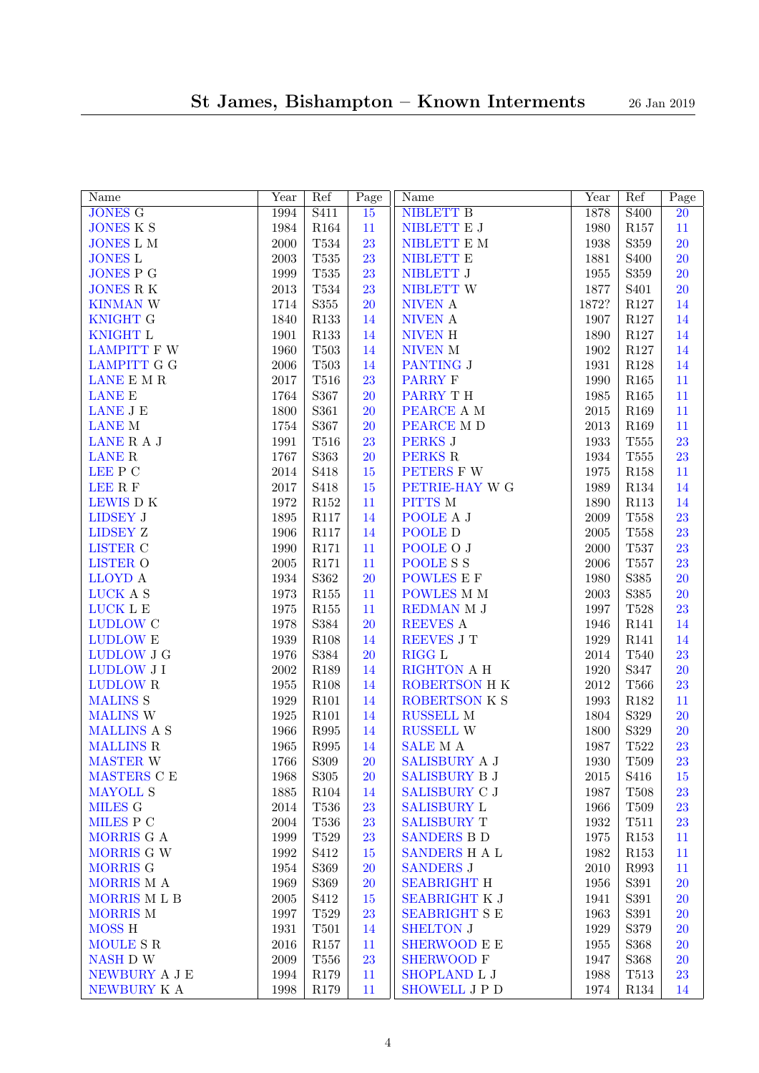| Name               | Year       | Ref              | $\overline{P}$ age | Name                  | Year       | Ref               | Page            |
|--------------------|------------|------------------|--------------------|-----------------------|------------|-------------------|-----------------|
| <b>JONES G</b>     | 1994       | S411             | $\overline{15}$    | <b>NIBLETT B</b>      | 1878       | $\overline{S400}$ | $\overline{20}$ |
| <b>JONES K S</b>   | 1984       | R164             | 11                 | NIBLETT $\mathbf E$ J | 1980       | R157              | 11              |
| <b>JONES L M</b>   | $2000\,$   | $\rm{T}534$      | 23                 | NIBLETT $\mathbf E$ M | 1938       | S359              | 20              |
| <b>JONES L</b>     | $\,2003\,$ | $\rm{T}535$      | 23                 | NIBLETT E             | 1881       | S <sub>400</sub>  | <b>20</b>       |
| <b>JONES P G</b>   | 1999       | $\rm{T}535$      | 23                 | NIBLETT J             | 1955       | S359              | <b>20</b>       |
| <b>JONES R K</b>   | $\,2013$   | $\rm{T}534$      | 23                 | NIBLETT W             | 1877       | S <sub>401</sub>  | <b>20</b>       |
| <b>KINMAN W</b>    | 1714       | $\rm S355$       | <b>20</b>          | NIVEN A               | 1872?      | $\rm R127$        | 14              |
| <b>KNIGHT G</b>    | 1840       | R133             | 14                 | NIVEN A               | 1907       | R127              | 14              |
| <b>KNIGHT L</b>    | 1901       | R133             | 14                 | NIVEN H               | 1890       | $\rm R127$        | 14              |
| <b>LAMPITT F W</b> | 1960       | $\rm T503$       | 14                 | NIVEN M               | 1902       | $\rm R127$        | 14              |
| <b>LAMPITT G G</b> | $\,2006\,$ | $\rm T503$       | 14                 | PANTING J             | 1931       | $\rm R128$        | 14              |
| LANE E M ${\bf R}$ | $2017\,$   | $\rm T516$       | 23                 | <b>PARRY F</b>        | 1990       | $\rm R165$        | 11              |
| <b>LANE E</b>      | 1764       | S367             | <b>20</b>          | PARRY TH              | 1985       | $\rm R165$        | 11              |
| LANE J E           | 1800       | S361             | <b>20</b>          | PEARCE A M            | 2015       | R169              | 11              |
| <b>LANE M</b>      | 1754       | S367             | <b>20</b>          | PEARCE M D            | 2013       | R169              | 11              |
| LANE R A J         | 1991       | T516             | 23                 | <b>PERKS J</b>        | 1933       | $\rm{T}555$       | 23              |
| <b>LANE R</b>      | 1767       | S363             | <b>20</b>          | PERKS R               | 1934       | $\rm{T}555$       | 23              |
| LEE P C            | 2014       | S418             | $15\,$             | PETERS F W            | 1975       | $\rm R158$        | 11              |
| LEE R F            | $2017\,$   | S418             | $15\,$             | PETRIE-HAY W G        | 1989       | ${\it R}134$      | 14              |
| LEWIS DK           | $1972\,$   | $\rm R152$       | 11                 | PITTS M               | 1890       | R113              | 14              |
| LIDSEY J           | 1895       | R117             | 14                 | POOLE A J             | 2009       | <b>T558</b>       | 23              |
| <b>LIDSEY Z</b>    | 1906       | <b>R117</b>      | 14                 | POOLE D               | $\,2005\,$ | $\rm{T}558$       | 23              |
| <b>LISTER C</b>    | 1990       | R171             | 11                 | POOLE O J             | 2000       | <b>T537</b>       | 23              |
|                    | 2005       | R171             | 11                 | <b>POOLESS</b>        | 2006       | $\rm T557$        | 23              |
| <b>LISTER O</b>    |            |                  |                    |                       |            |                   |                 |
| LLOYD A            | 1934       | S362             | <b>20</b>          | POWLES E F            | 1980       | S385              | 20              |
| LUCK A S           | 1973       | R155             | 11                 | POWLES M M            | $\,2003\,$ | S385              | <b>20</b>       |
| LUCK L E           | $1975\,$   | $\rm R155$       | 11                 | REDMAN M J            | 1997       | $\rm{T}528$       | 23              |
| <b>LUDLOW C</b>    | 1978       | S384             | <b>20</b>          | REEVES A              | 1946       | R141              | 14              |
| <b>LUDLOW E</b>    | 1939       | R108             | 14                 | REEVES J T            | 1929       | R141              | 14              |
| LUDLOW J G         | 1976       | S384             | <b>20</b>          | <b>RIGG L</b>         | $\,2014$   | <b>T540</b>       | 23              |
| <b>LUDLOW J I</b>  | $\,2002\,$ | R189             | 14                 | RIGHTON A H           | 1920       | S347              | <b>20</b>       |
| <b>LUDLOW R</b>    | $1955\,$   | R108             | 14                 | ROBERTSON H K         | $2012\,$   | <b>T566</b>       | 23              |
| <b>MALINS S</b>    | 1929       | R101             | 14                 | ROBERTSON K S         | 1993       | R182              | 11              |
| <b>MALINS W</b>    | $1925\,$   | R101             | 14                 | RUSSELL M             | 1804       | S329              | 20              |
| <b>MALLINS A S</b> | 1966       | ${\bf R}995$     | 14                 | RUSSELL W             | 1800       | S329              | <b>20</b>       |
| <b>MALLINS R</b>   | 1965       | R995             | 14                 | <b>SALE</b> M A       | 1987       | T522              | 23              |
| <b>MASTER W</b>    | 1766       | S309             | 20                 | SALISBURY A J         | 1930       | T509              | 23              |
| MASTERS C E        | 1968       | S305             | <b>20</b>          | <b>SALISBURY B J</b>  | 2015       | S416              | 15              |
| <b>MAYOLL S</b>    | 1885       | R <sub>104</sub> | 14                 | SALISBURY C J         | 1987       | T508              | 23              |
| <b>MILES G</b>     | 2014       | T536             | 23                 | <b>SALISBURY L</b>    | 1966       | T509              | 23              |
| MILES P C          | $\,2004\,$ | T536             | 23                 | <b>SALISBURY T</b>    | 1932       | T511              | 23              |
| MORRIS G A         | 1999       | T529             | 23                 | <b>SANDERS B D</b>    | 1975       | R153              | 11              |
| MORRIS G W         | 1992       | S412             | 15                 | SANDERS H A L         | 1982       | R153              | 11              |
| MORRIS G           | 1954       | S369             | <b>20</b>          | <b>SANDERS J</b>      | 2010       | R993              | 11              |
| MORRIS M A         | 1969       | S369             | <b>20</b>          | <b>SEABRIGHT H</b>    | 1956       | S391              | <b>20</b>       |
| MORRIS MLB         | $\,2005\,$ | S412             | 15                 | <b>SEABRIGHT K J</b>  | 1941       | S391              | <b>20</b>       |
| <b>MORRIS M</b>    | 1997       | T529             | 23                 | <b>SEABRIGHT S E</b>  | 1963       | S391              | <b>20</b>       |
| <b>MOSS H</b>      | 1931       | T501             | 14                 | <b>SHELTON J</b>      | 1929       | S379              | <b>20</b>       |
| MOULE S R          | $\,2016$   | R <sub>157</sub> | 11                 | <b>SHERWOOD E E</b>   | 1955       | S368              | <b>20</b>       |
| NASH D W           | $\,2009\,$ | T <sub>556</sub> | 23                 | <b>SHERWOOD F</b>     | 1947       | S368              | <b>20</b>       |
| NEWBURY A J E      | 1994       | R <sub>179</sub> | 11                 | SHOPLAND L J          | 1988       | T513              | 23              |
| NEWBURY K A        | 1998       | R179             | 11                 | <b>SHOWELL J P D</b>  | 1974       | R134              | 14              |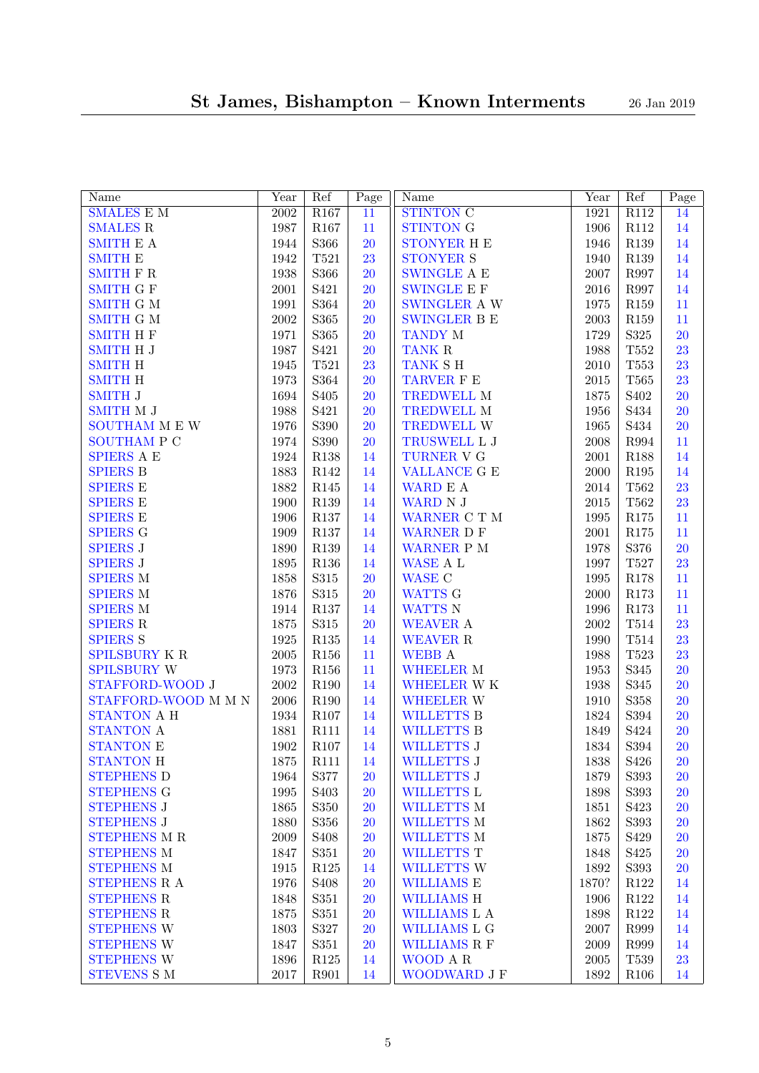| Name                 | Year              | Ref               | $\overline{P}$ age | Name                       | Year       | Ref                          | Page      |
|----------------------|-------------------|-------------------|--------------------|----------------------------|------------|------------------------------|-----------|
| <b>SMALES E M</b>    | $\overline{2002}$ | R <sub>167</sub>  | $\overline{11}$    | <b>STINTON C</b>           | 1921       | R112                         | 14        |
| <b>SMALES R</b>      | 1987              | R167              | 11                 | <b>STINTON G</b>           | 1906       | R112                         | 14        |
| <b>SMITH E A</b>     | 1944              | S366              | 20                 | <b>STONYER H E</b>         | 1946       | $\rm R139$                   | 14        |
| <b>SMITH E</b>       | 1942              | T521              | 23                 | <b>STONYER S</b>           | 1940       | $\rm R139$                   | 14        |
| <b>SMITH F R</b>     | 1938              | S366              | 20                 | $\quad$ SWINGLE A $\cal E$ | 2007       | R997                         | 14        |
| <b>SMITH G F</b>     | $\,2001\,$        | S421              | 20                 | $\quad$ SWINGLE E $F$      | 2016       | R997                         | 14        |
| <b>SMITH G M</b>     | 1991              | S364              | 20                 | SWINGLER A W               | 1975       | R159                         | 11        |
| <b>SMITH G M</b>     | $\>2002$          | S365              | 20                 | <b>SWINGLER B E</b>        | 2003       | R159                         | 11        |
| <b>SMITH H F</b>     | 1971              | S365              | 20                 | <b>TANDY M</b>             | 1729       | S325                         | 20        |
| <b>SMITH H J</b>     | 1987              | S421              | 20                 | TANK R                     | 1988       | $\rm{T}552$                  | 23        |
| <b>SMITH H</b>       | 1945              | T521              | 23                 | TANK SH                    | 2010       | T553                         | 23        |
| <b>SMITH H</b>       | 1973              | S364              | 20                 | TARVER F E                 | 2015       | $\rm T565$                   | 23        |
| <b>SMITH J</b>       | 1694              | S <sub>405</sub>  | 20                 | TREDWELL M                 | 1875       | S <sub>402</sub>             | 20        |
| SMITH M J            | 1988              | S421              | 20                 | TREDWELL M                 | 1956       | S434                         | 20        |
| SOUTHAM M E W        | 1976              | S390              | 20                 | TREDWELL W                 | 1965       | S434                         | 20        |
| <b>SOUTHAM P C</b>   | 1974              | S390              | 20                 | TRUSWELL L J               | 2008       | ${\bf R}994$                 | 11        |
| <b>SPIERS A E</b>    | 1924              | $\rm R138$        | 14                 | TURNER V G                 | 2001       | R188                         | 14        |
| <b>SPIERS B</b>      | 1883              | R142              | 14                 | <b>VALLANCE G E</b>        | $2000\,$   | R195                         | 14        |
| <b>SPIERS E</b>      | 1882              | $\rm R145$        | 14                 | WARD E A                   | 2014       | $\rm T562$                   | 23        |
| <b>SPIERS E</b>      | 1900              | $\rm R139$        | 14                 | WARD N J                   | 2015       | T562                         | 23        |
| <b>SPIERS E</b>      | 1906              | $\rm R137$        | 14                 | WARNER C T M               | 1995       | R175                         | 11        |
| <b>SPIERS G</b>      | 1909              | $\rm R137$        | 14                 | <b>WARNER D F</b>          | $\,2001\,$ | $\rm R175$                   | 11        |
| <b>SPIERS J</b>      | 1890              | R139              | 14                 | WARNER P M                 | 1978       | S376                         | 20        |
| <b>SPIERS J</b>      | 1895              | $\rm R136$        | 14                 | WASE A L                   | 1997       | $\rm T527$                   | 23        |
| <b>SPIERS M</b>      | 1858              | $\rm S315$        | 20                 | <b>WASE C</b>              | 1995       | $\rm R178$                   | 11        |
| <b>SPIERS M</b>      | 1876              | $\rm S315$        | 20                 | WATTS G                    | 2000       | $\rm R173$                   | 11        |
| <b>SPIERS M</b>      | 1914              | $\rm R137$        | 14                 | WATTS N                    | 1996       | $\rm R173$                   | 11        |
| <b>SPIERS R</b>      | 1875              | $\rm S315$        | 20                 | WEAVER A                   | $\>2002$   | $\rm T514$                   | 23        |
| <b>SPIERS S</b>      | $1925\,$          | $\rm R135$        | 14                 | WEAVER R                   | 1990       | $\rm T514$                   | 23        |
| <b>SPILSBURY K R</b> | $\,2005\,$        | R156              | 11                 | <b>WEBB A</b>              | 1988       | T523                         | 23        |
| <b>SPILSBURY W</b>   | 1973              | R <sub>156</sub>  | 11                 | <b>WHEELER M</b>           | 1953       | S345                         | 20        |
| STAFFORD-WOOD J      | 2002              | R190              | 14                 | WHEELER WK                 | 1938       | S345                         | 20        |
| STAFFORD-WOOD M M N  | $\,2006\,$        | R190              | 14                 | <b>WHEELER W</b>           | 1910       | S358                         | 20        |
| STANTON A H          | 1934              | R107              | 14                 | <b>WILLETTS B</b>          | 1824       | S394                         | 20        |
| <b>STANTON A</b>     | 1881              | R111              | 14                 | <b>WILLETTS B</b>          | 1849       | S424                         | 20        |
| <b>STANTON E</b>     | 1902              | R <sub>107</sub>  | 14                 | <b>WILLETTS J</b>          | 1834       | S394                         | 20        |
| <b>STANTON H</b>     | 1875              | R111              | 14                 | WILLETTS J                 | $1838\,$   | $\ensuremath{\mathrm{S}}426$ | <b>20</b> |
| <b>STEPHENS D</b>    | 1964              | S377              | <b>20</b>          | <b>WILLETTS J</b>          | 1879       | S393                         | <b>20</b> |
| <b>STEPHENS G</b>    | 1995              | S <sub>40</sub> 3 | 20                 | <b>WILLETTS L</b>          | 1898       | S393                         | <b>20</b> |
| <b>STEPHENS J</b>    | 1865              | S350              | 20                 | <b>WILLETTS M</b>          | 1851       | S423                         | <b>20</b> |
| <b>STEPHENS J</b>    | 1880              | S356              | 20                 | WILLETTS M                 | 1862       | S393                         | <b>20</b> |
| <b>STEPHENS M R</b>  | $\,2009\,$        | S <sub>408</sub>  | 20                 | WILLETTS M                 | 1875       | S429                         | <b>20</b> |
| <b>STEPHENS M</b>    | 1847              | S351              | 20                 | <b>WILLETTS T</b>          | 1848       | S425                         | 20        |
| <b>STEPHENS M</b>    | 1915              | R125              | 14                 | <b>WILLETTS W</b>          | 1892       | S393                         | 20        |
| <b>STEPHENS R A</b>  | 1976              | S <sub>408</sub>  | 20                 | <b>WILLIAMS E</b>          | 1870?      | R122                         | 14        |
| <b>STEPHENS R</b>    | 1848              | S351              | 20                 | <b>WILLIAMS H</b>          | 1906       | R122                         | 14        |
| <b>STEPHENS R</b>    | 1875              | S351              | 20                 | WILLIAMS L A               | 1898       | R122                         | 14        |
| <b>STEPHENS W</b>    | 1803              | S327              | 20                 | <b>WILLIAMS L G</b>        | 2007       | R999                         | 14        |
| <b>STEPHENS W</b>    | 1847              | S351              | 20                 | <b>WILLIAMS R F</b>        | 2009       | R999                         | 14        |
| <b>STEPHENS W</b>    | 1896              | R125              | 14                 | WOOD A R                   | 2005       | T539                         | 23        |
| STEVENS S M          | $2017\,$          | R901              | 14                 | WOODWARD J F               | 1892       | R106                         | 14        |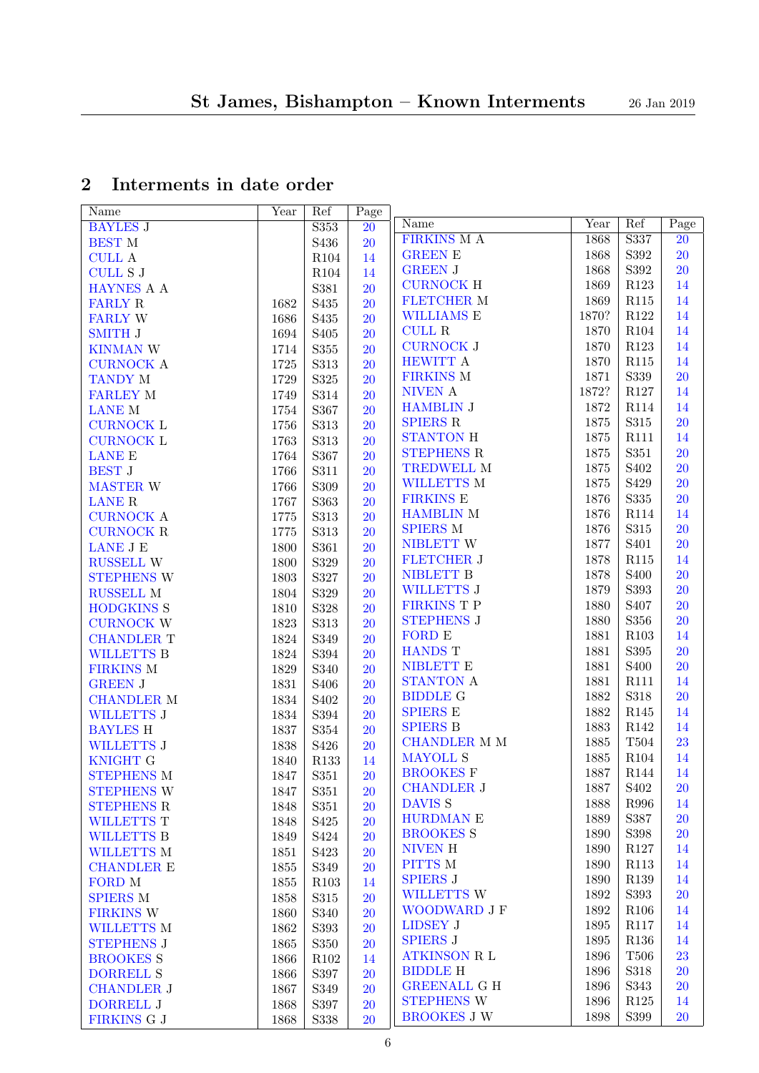# <span id="page-5-0"></span>2 Interments in date order

| Name                | Year     | Ref              | Page      |                                       |       |                   |                 |
|---------------------|----------|------------------|-----------|---------------------------------------|-------|-------------------|-----------------|
| <b>BAYLES J</b>     |          | S353             | 20        | Name                                  | Year  | Ref               | Page            |
| <b>BEST M</b>       |          | S436             | 20        | <b>FIRKINS MA</b>                     | 1868  | S337              | $\overline{20}$ |
| <b>CULL A</b>       |          | R104             | 14        | <b>GREEN E</b>                        | 1868  | S392              | 20              |
| <b>CULL S J</b>     |          | R104             | 14        | <b>GREEN J</b>                        | 1868  | S392              | 20              |
| HAYNES A A          |          | S381             | 20        | <b>CURNOCK H</b>                      | 1869  | R123              | 14              |
| <b>FARLY R</b>      | 1682     | S435             | <b>20</b> | <b>FLETCHER M</b>                     | 1869  | R115              | 14              |
| <b>FARLY W</b>      | 1686     | S435             | <b>20</b> | <b>WILLIAMS E</b>                     | 1870? | R122              | 14              |
| <b>SMITH J</b>      | 1694     | S <sub>405</sub> | <b>20</b> | <b>CULL R</b>                         | 1870  | R104              | 14              |
| <b>KINMAN W</b>     | 1714     | $\mathbf{S}355$  | <b>20</b> | <b>CURNOCK J</b>                      | 1870  | R123              | 14              |
| <b>CURNOCK A</b>    | 1725     | S313             | <b>20</b> | <b>HEWITT A</b>                       | 1870  | R115              | 14              |
| <b>TANDY M</b>      | 1729     | $\rm S325$       | <b>20</b> | <b>FIRKINS M</b>                      | 1871  | S339              | 20              |
| <b>FARLEY M</b>     | 1749     | S314             | <b>20</b> | NIVEN A                               | 1872? | R127              | 14              |
| <b>LANE M</b>       | 1754     | S367             | <b>20</b> | <b>HAMBLIN J</b>                      | 1872  | R114              | 14              |
| <b>CURNOCK L</b>    | 1756     | S313             | <b>20</b> | <b>SPIERS R</b>                       | 1875  | S315              | 20              |
| <b>CURNOCK L</b>    | 1763     | S313             | <b>20</b> | <b>STANTON H</b>                      | 1875  | R111              | 14              |
| <b>LANE E</b>       | 1764     | S367             | <b>20</b> | <b>STEPHENS R</b>                     | 1875  | S351              | 20              |
|                     |          |                  |           | <b>TREDWELL M</b>                     | 1875  | S <sub>402</sub>  | 20              |
| <b>BEST J</b>       | 1766     | S311             | <b>20</b> | <b>WILLETTS M</b>                     | 1875  | S429              | 20              |
| MASTER W            | 1766     | S309             | <b>20</b> | ${\rm FIRKINS}$ E                     | 1876  | S335              | 20              |
| <b>LANE R</b>       | 1767     | S363             | <b>20</b> | <b>HAMBLIN M</b>                      | 1876  | <b>R114</b>       | 14              |
| <b>CURNOCK A</b>    | 1775     | S313             | <b>20</b> | <b>SPIERS M</b>                       | 1876  | $\rm S315$        | 20              |
| CURNOCK ${\bf R}$   | $1775\,$ | S313             | <b>20</b> | NIBLETT W                             | 1877  | S <sub>401</sub>  | 20              |
| LANE J E            | 1800     | S361             | <b>20</b> |                                       | 1878  | R115              |                 |
| RUSSELL W           | 1800     | S329             | <b>20</b> | <b>FLETCHER J</b><br><b>NIBLETT B</b> |       |                   | 14              |
| <b>STEPHENS W</b>   | 1803     | S327             | <b>20</b> |                                       | 1878  | S <sub>400</sub>  | 20              |
| RUSSELL $\mathbf M$ | 1804     | S329             | <b>20</b> | <b>WILLETTS J</b>                     | 1879  | S393              | 20              |
| <b>HODGKINS S</b>   | 1810     | S328             | <b>20</b> | FIRKINS T P                           | 1880  | S <sub>40</sub> 7 | 20              |
| <b>CURNOCK W</b>    | 1823     | S313             | 20        | <b>STEPHENS J</b>                     | 1880  | $\mathbf{S}356$   | 20              |
| <b>CHANDLER T</b>   | 1824     | S349             | <b>20</b> | FORD E                                | 1881  | R <sub>103</sub>  | 14              |
| <b>WILLETTS B</b>   | 1824     | S394             | <b>20</b> | <b>HANDS T</b>                        | 1881  | S395              | 20              |
| <b>FIRKINS M</b>    | 1829     | S340             | <b>20</b> | NIBLETT E                             | 1881  | S <sub>400</sub>  | 20              |
| <b>GREEN J</b>      | 1831     | S <sub>406</sub> | 20        | <b>STANTON A</b>                      | 1881  | R111              | 14              |
| <b>CHANDLER M</b>   | 1834     | S <sub>402</sub> | <b>20</b> | <b>BIDDLE G</b>                       | 1882  | S318              | 20              |
| <b>WILLETTS J</b>   | 1834     | S394             | 20        | <b>SPIERS E</b>                       | 1882  | R145              | 14              |
| <b>BAYLES H</b>     | 1837     | $\mathbf{S}354$  | <b>20</b> | <b>SPIERS B</b>                       | 1883  | R142              | 14              |
| <b>WILLETTS J</b>   | 1838     | S426             | <b>20</b> | <b>CHANDLER M M</b>                   | 1885  | T504              | 23              |
| <b>KNIGHT G</b>     | 1840     | R133             | 14        | <b>MAYOLL S</b>                       | 1885  | R104              | 14              |
| <b>STEPHENS M</b>   | 1847     | $\rm S351$       | 20        | <b>BROOKES</b> F                      | 1887  | R144              | 14              |
| <b>STEPHENS W</b>   | 1847     | S351             | <b>20</b> | <b>CHANDLER J</b>                     | 1887  | S <sub>402</sub>  | <b>20</b>       |
| <b>STEPHENS R</b>   | 1848     | S351             | <b>20</b> | <b>DAVIS S</b>                        | 1888  | R996              | 14              |
| <b>WILLETTS T</b>   | 1848     | S425             | <b>20</b> | <b>HURDMAN E</b>                      | 1889  | S387              | 20              |
| <b>WILLETTS B</b>   | 1849     | S424             | <b>20</b> | <b>BROOKES S</b>                      | 1890  | S398              | 20              |
| WILLETTS M          | 1851     | S423             | <b>20</b> | <b>NIVEN H</b>                        | 1890  | R127              | 14              |
| <b>CHANDLER E</b>   | 1855     | S349             | <b>20</b> | PITTS M                               | 1890  | R113              | 14              |
| FORD M              | 1855     | R <sub>103</sub> | 14        | <b>SPIERS J</b>                       | 1890  | R139              | 14              |
| <b>SPIERS M</b>     | 1858     | S315             | <b>20</b> | WILLETTS W                            | 1892  | S393              | 20              |
| <b>FIRKINS W</b>    | 1860     | S340             | <b>20</b> | WOODWARD J F                          | 1892  | R106              | 14              |
| <b>WILLETTS M</b>   | 1862     | S393             | <b>20</b> | <b>LIDSEY J</b>                       | 1895  | R117              | 14              |
| <b>STEPHENS J</b>   | 1865     | S350             | <b>20</b> | <b>SPIERS J</b>                       | 1895  | R136              | 14              |
| <b>BROOKES S</b>    | 1866     | R <sub>102</sub> | 14        | <b>ATKINSON R L</b>                   | 1896  | <b>T506</b>       | 23              |
| <b>DORRELL S</b>    | 1866     | S397             | <b>20</b> | <b>BIDDLE H</b>                       | 1896  | S318              | 20              |
| <b>CHANDLER J</b>   | 1867     | S349             | <b>20</b> | <b>GREENALL G H</b>                   | 1896  | S343              | 20              |
| <b>DORRELL J</b>    | 1868     | S397             | <b>20</b> | <b>STEPHENS W</b>                     | 1896  | R125              | 14              |
| FIRKINS G J         | 1868     | S338             | <b>20</b> | <b>BROOKES J W</b>                    | 1898  | S399              | 20              |
|                     |          |                  |           |                                       |       |                   |                 |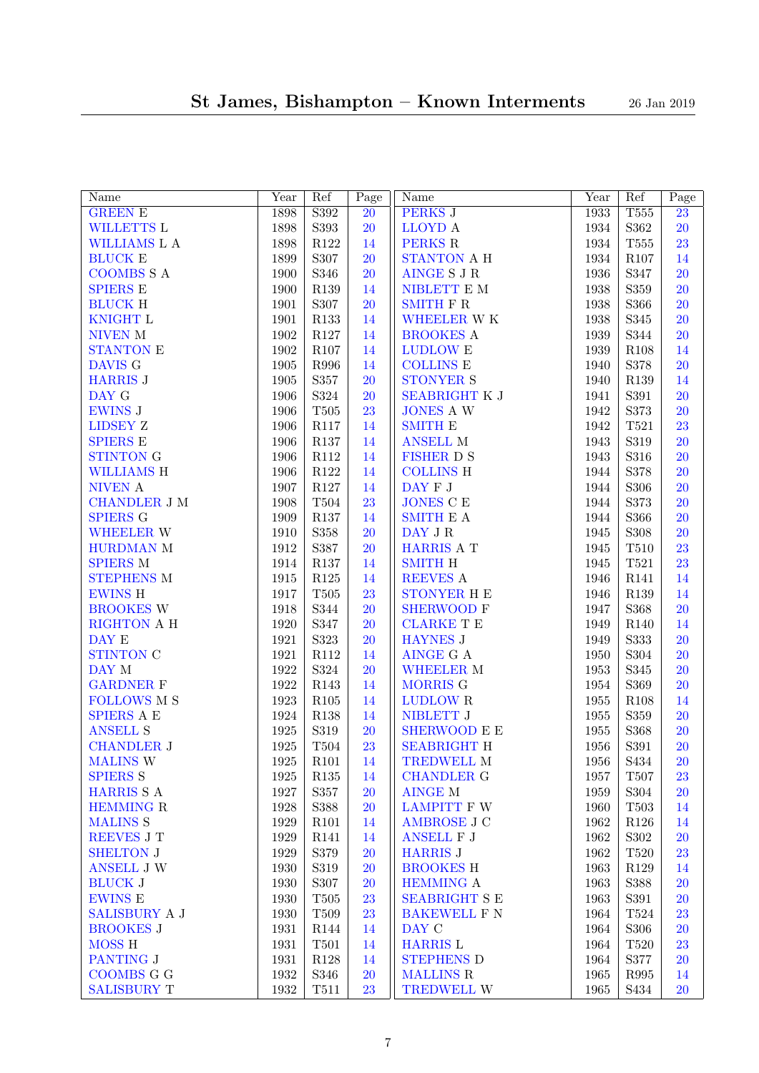| Name                 | Year     | Ref              | Page      | Name                       | Year | Ref         | Page            |
|----------------------|----------|------------------|-----------|----------------------------|------|-------------|-----------------|
| <b>GREEN E</b>       | 1898     | S392             | <b>20</b> | <b>PERKS J</b>             | 1933 | <b>T555</b> | $\overline{23}$ |
| WILLETTS L           | 1898     | $\mathbf{S}393$  | <b>20</b> | LLOYD A                    | 1934 | S362        | 20              |
| WILLIAMS L A         | 1898     | R122             | 14        | PERKS R                    | 1934 | $\rm{T}555$ | 23              |
| <b>BLUCK E</b>       | 1899     | S307             | 20        | STANTON A H                | 1934 | R107        | 14              |
| <b>COOMBS S A</b>    | 1900     | S346             | 20        | AINGE S J R                | 1936 | S347        | 20              |
| <b>SPIERS E</b>      | 1900     | R139             | 14        | NIBLETT $\mathbf E$ M      | 1938 | S359        | 20              |
| <b>BLUCK H</b>       | 1901     | S307             | 20        | SMITH ${\cal F}$ R         | 1938 | S366        | 20              |
| KNIGHT L             | 1901     | R133             | 14        | WHEELER WK                 | 1938 | S345        | 20              |
| NIVEN M              | 1902     | $\rm R127$       | 14        | <b>BROOKES A</b>           | 1939 | S344        | 20              |
| <b>STANTON E</b>     | 1902     | R107             | 14        | $\mbox{LUDLOW}$ E          | 1939 | R108        | 14              |
| DAVIS G              | 1905     | R996             | 14        | COLLINS ${\bf E}$          | 1940 | S378        | 20              |
| <b>HARRIS J</b>      | 1905     | S357             | 20        | <b>STONYER S</b>           | 1940 | R139        | 14              |
| DAY G                | 1906     | S324             | <b>20</b> | <b>SEABRIGHT K J</b>       | 1941 | S391        | 20              |
| <b>EWINS J</b>       | 1906     | $\rm T505$       | 23        | <b>JONES A W</b>           | 1942 | S373        | 20              |
| <b>LIDSEY Z</b>      | 1906     | <b>R117</b>      | 14        | <b>SMITH E</b>             | 1942 | T521        | 23              |
| <b>SPIERS E</b>      | 1906     | R137             | 14        | <b>ANSELL M</b>            | 1943 | S319        | 20              |
| <b>STINTON G</b>     | 1906     | $\rm R112$       | 14        | <b>FISHER D S</b>          | 1943 | S316        | 20              |
| <b>WILLIAMS H</b>    | 1906     | $\rm R122$       | 14        | <b>COLLINS H</b>           | 1944 | S378        | 20              |
| NIVEN A              | 1907     | $\rm R127$       | 14        | DAY ${\cal F}$ J           | 1944 | S306        | 20              |
| CHANDLER J M         | 1908     | T504             | 23        | JONES C ${\rm E}$          | 1944 | S373        | 20              |
| <b>SPIERS G</b>      | 1909     | $\rm R137$       | 14        | $\operatorname{SMITH}$ E A | 1944 | S366        | 20              |
| <b>WHEELER W</b>     | 1910     | S358             | <b>20</b> | DAY J ${\bf R}$            | 1945 | <b>S308</b> | <b>20</b>       |
| HURDMAN M            | 1912     | S387             | <b>20</b> | HARRIS A T                 | 1945 | $\rm T510$  | 23              |
| <b>SPIERS M</b>      | 1914     | $\rm R137$       | 14        | <b>SMITH H</b>             | 1945 | $\rm T521$  | 23              |
| <b>STEPHENS M</b>    | 1915     | $\rm R125$       | 14        | REEVES A                   | 1946 | R141        | 14              |
| <b>EWINS H</b>       | 1917     | $\rm T505$       | 23        | STONYER H E                | 1946 | $\rm R139$  | 14              |
| <b>BROOKES W</b>     | 1918     | S344             | 20        | <b>SHERWOOD F</b>          | 1947 | S368        | <b>20</b>       |
| RIGHTON A H          | 1920     | S347             | 20        | CLARKE T ${\bf E}$         | 1949 | R140        | 14              |
| DAY E                | 1921     | S323             | <b>20</b> | HAYNES J                   | 1949 | S333        | <b>20</b>       |
| STINTON C            | 1921     | R112             | 14        | AINGE G A                  | 1950 | S304        | <b>20</b>       |
| DAY M                | $1922\,$ | S324             | <b>20</b> | WHEELER M                  | 1953 | S345        | <b>20</b>       |
| <b>GARDNER F</b>     | $1922\,$ | R143             | 14        | MORRIS G                   | 1954 | S369        | <b>20</b>       |
| FOLLOWS M S          | 1923     | $\rm R105$       | 14        | <b>LUDLOW R</b>            | 1955 | $\rm R108$  | 14              |
| <b>SPIERS A E</b>    | 1924     | R138             | 14        | NIBLETT J                  | 1955 | S359        | <b>20</b>       |
| <b>ANSELL S</b>      | $1925\,$ | S319             | 20        | <b>SHERWOOD E E</b>        | 1955 | S368        | <b>20</b>       |
| <b>CHANDLER J</b>    | $1925\,$ | T504             | 23        | <b>SEABRIGHT H</b>         | 1956 | S391        | <b>20</b>       |
| <b>MALINS W</b>      |          | $1925$ R101      | 14        | TREDWELL M                 | 1956 | S434        | <b>20</b>       |
| <b>SPIERS S</b>      | 1925     | R <sub>135</sub> | 14        | <b>CHANDLER G</b>          | 1957 | $\rm T507$  | 23              |
| HARRIS S A           | 1927     | S357             | <b>20</b> | <b>AINGE M</b>             | 1959 | $\rm S304$  | <b>20</b>       |
| <b>HEMMING R</b>     | 1928     | S388             | <b>20</b> | <b>LAMPITT F W</b>         | 1960 | $\rm T503$  | 14              |
| <b>MALINS S</b>      | 1929     | R <sub>101</sub> | 14        | <b>AMBROSE J C</b>         | 1962 | R126        | 14              |
| REEVES J T           | 1929     | R141             | 14        | <b>ANSELL F J</b>          | 1962 | $\rm S302$  | <b>20</b>       |
| <b>SHELTON J</b>     | 1929     | S379             | <b>20</b> | <b>HARRIS J</b>            | 1962 | $\rm T520$  | 23              |
|                      |          |                  |           |                            |      |             |                 |
| <b>ANSELL J W</b>    | 1930     | S319             | 20        | <b>BROOKES H</b>           | 1963 | R129        | 14              |
| <b>BLUCK J</b>       | 1930     | S307             | <b>20</b> | <b>HEMMING A</b>           | 1963 | S388        | 20              |
| <b>EWINS E</b>       | 1930     | $\rm T505$       | 23        | <b>SEABRIGHT S E</b>       | 1963 | S391        | <b>20</b>       |
| <b>SALISBURY A J</b> | 1930     | T509             | 23        | <b>BAKEWELL F N</b>        | 1964 | T524        | 23              |
| <b>BROOKES J</b>     | 1931     | R144             | 14        | DAY C                      | 1964 | S306        | 20              |
| MOSS H               | 1931     | T501             | 14        | <b>HARRIS L</b>            | 1964 | $\rm T520$  | 23              |
| <b>PANTING J</b>     | 1931     | R128             | 14        | <b>STEPHENS D</b>          | 1964 | S377        | <b>20</b>       |
| <b>COOMBS G G</b>    | 1932     | S346             | <b>20</b> | <b>MALLINS R</b>           | 1965 | R995        | 14              |
| SALISBURY T          | 1932     | $\rm T511$       | 23        | TREDWELL W                 | 1965 | S434        | <b>20</b>       |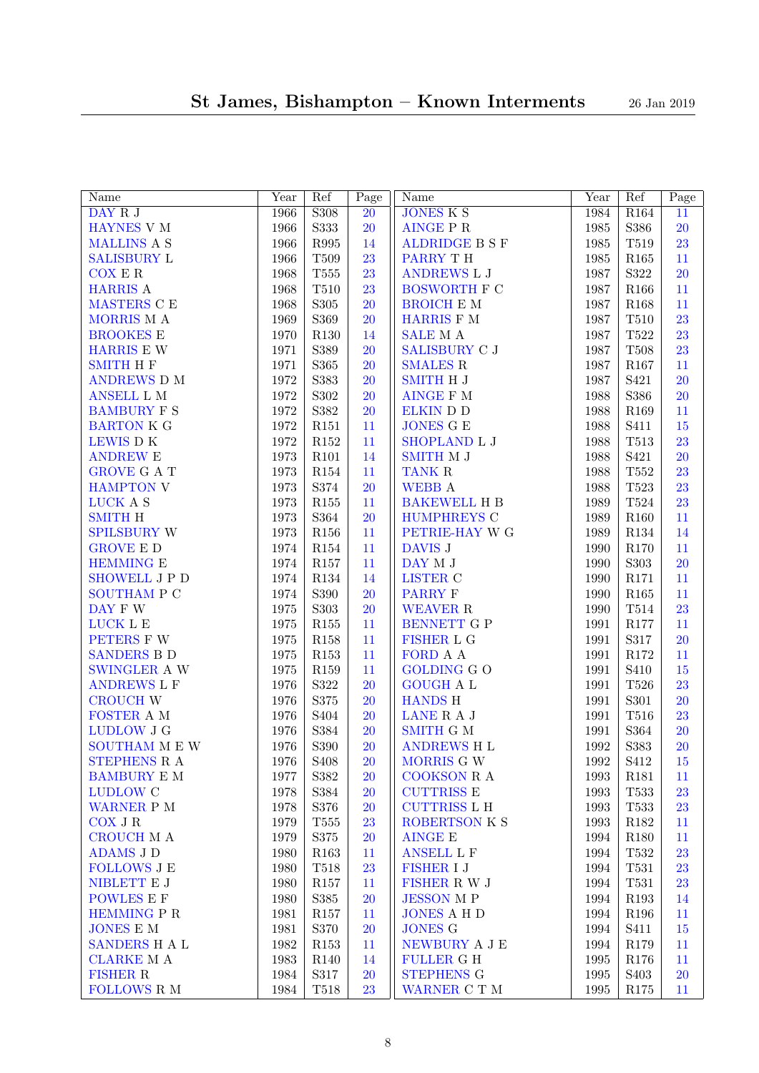| Name                               | Year     | Ref              | $\overline{\text{Page}}$ | Name                | Year         | Ref               | $\overline{P}$ age |
|------------------------------------|----------|------------------|--------------------------|---------------------|--------------|-------------------|--------------------|
| DAY R J                            | 1966     | S308             | $\overline{20}$          | <b>JONES K S</b>    | 1984         | R164              | 11                 |
| HAYNES V M                         | 1966     | S333             | 20                       | <b>AINGE P R</b>    | 1985         | S386              | 20                 |
| <b>MALLINS A S</b>                 | 1966     | R995             | 14                       | ALDRIDGE B S F      | 1985         | T519              | 23                 |
| <b>SALISBURY L</b>                 | 1966     | T509             | 23                       | PARRY TH            | 1985         | $\rm R165$        | 11                 |
| COX E R                            | 1968     | $\rm{T}555$      | 23                       | <b>ANDREWS L J</b>  | 1987         | S322              | 20                 |
| <b>HARRIS A</b>                    | 1968     | $\rm T510$       | 23                       | <b>BOSWORTH F C</b> | 1987         | R166              | 11                 |
| MASTERS C E                        | 1968     | $\rm S305$       | 20                       | <b>BROICH E M</b>   | 1987         | $\rm R168$        | 11                 |
| MORRIS M A                         | 1969     | S369             | <b>20</b>                | HARRIS F M          | 1987         | $\rm T510$        | 23                 |
| <b>BROOKES E</b>                   | 1970     | $\rm R130$       | 14                       | <b>SALE</b> M A     | 1987         | T522              | 23                 |
| HARRIS E W                         | 1971     | S389             | 20                       | SALISBURY C J       | 1987         | $\rm T508$        | 23                 |
| <b>SMITH H F</b>                   | 1971     | S365             | 20                       | <b>SMALES R</b>     | 1987         | R167              | 11                 |
| ANDREWS D M                        | $1972\,$ | S383             | 20                       | <b>SMITH H J</b>    | 1987         | S <sub>421</sub>  | 20                 |
| ANSELL L M                         | 1972     | S302             | 20                       | AINGE F M           | 1988         | S386              | 20                 |
| <b>BAMBURY F S</b>                 | $1972\,$ | S382             | <b>20</b>                | ELKIN D D           | 1988         | R169              | 11                 |
| <b>BARTON K G</b>                  | 1972     | R151             | 11                       | <b>JONES G E</b>    | 1988         | S411              | $15\,$             |
| LEWIS DK                           | 1972     | $\rm R152$       | 11                       | SHOPLAND L J        | 1988         | T513              | 23                 |
| <b>ANDREW E</b>                    | 1973     | R101             | 14                       | <b>SMITH M J</b>    | 1988         | S421              | 20                 |
| <b>GROVE G A T</b>                 | 1973     | ${\it R154}$     | 11                       | <b>TANK R</b>       | 1988         | $\rm{T}552$       | 23                 |
| <b>HAMPTON V</b>                   | 1973     | S374             | <b>20</b>                | <b>WEBB</b> A       | 1988         | T523              | 23                 |
| LUCK A S                           | 1973     | R155             | 11                       | <b>BAKEWELL H B</b> | 1989         | T524              | 23                 |
| <b>SMITH H</b>                     | 1973     | S364             | <b>20</b>                | HUMPHREYS C         | 1989         | R160              | 11                 |
| SPILSBURY W                        | 1973     | R156             | 11                       | PETRIE-HAY W G      | 1989         | R134              | 14                 |
| <b>GROVE E D</b>                   | 1974     | ${\it R154}$     | 11                       | DAVIS J             | 1990         | R170              | 11                 |
| <b>HEMMING E</b>                   | 1974     | $\rm R157$       | 11                       | DAY M J             | 1990         | S303              | 20                 |
| SHOWELL J P D                      | 1974     | ${\it R}134$     | 14                       | ${\rm LISTER}$ C    | 1990         | R171              | 11                 |
| <b>SOUTHAM P C</b>                 | 1974     | $\rm S390$       | <b>20</b>                | <b>PARRY F</b>      | 1990         | $\rm R165$        | 11                 |
| DAY F W                            | $1975\,$ | S303             | <b>20</b>                | WEAVER R            | 1990         | $\rm T514$        | 23                 |
| LUCK L E                           | $1975\,$ | $\rm R155$       | 11                       | BENNETT G P         | 1991         | R177              | 11                 |
| PETERS F W                         | $1975\,$ | R158             | 11                       | <b>FISHER L G</b>   | 1991         | S317              | 20                 |
| <b>SANDERS B D</b>                 | $1975\,$ | $\rm R153$       | 11                       | FORD A A            | 1991         | $\rm R172$        | 11                 |
| SWINGLER A W                       | $1975\,$ | R159             | 11                       | <b>GOLDING G O</b>  | 1991         | S410              | $15\,$             |
| <b>ANDREWS L F</b>                 | 1976     | S322             | <b>20</b>                | <b>GOUGH A L</b>    | 1991         | T526              | 23                 |
| <b>CROUCH W</b>                    | 1976     | S375             | <b>20</b>                | <b>HANDS H</b>      | 1991         | S301              | <b>20</b>          |
| FOSTER A M                         | 1976     | S404             | 20                       | LANE R A J          | 1991         | $\rm T516$        | 23                 |
| LUDLOW J G                         | 1976     | S384             | <b>20</b>                | <b>SMITH G M</b>    | 1991         | S364              | <b>20</b>          |
| SOUTHAM M E W                      | 1976     | S390             | <b>20</b>                | <b>ANDREWS H L</b>  | 1992         | S383              | <b>20</b>          |
|                                    | 1976     | S <sub>408</sub> | <b>20</b>                | MORRIS G W          | 1992         | S412              | 15                 |
| STEPHENS R A<br><b>BAMBURY E M</b> |          | S382             |                          | <b>COOKSON R A</b>  | 1993         | R181              |                    |
|                                    | 1977     |                  | <b>20</b>                | <b>CUTTRISS E</b>   | 1993         |                   | 11                 |
| <b>LUDLOW C</b>                    | 1978     | S384             | <b>20</b>                |                     |              | T533              | 23                 |
| WARNER P M<br>$COX$ J $R$          | 1978     | S376             | <b>20</b>                | <b>CUTTRISS L H</b> | 1993<br>1993 | <b>T533</b>       | 23                 |
| <b>CROUCH MA</b>                   | 1979     | T555             | 23                       | ROBERTSON K S       |              | $\rm R182$        | 11                 |
| <b>ADAMS J D</b>                   | 1979     | S375             | <b>20</b>                | <b>AINGE E</b>      | 1994         | R180              | 11                 |
|                                    | 1980     | R163             | 11                       | <b>ANSELL L F</b>   | 1994         | T532              | 23                 |
| <b>FOLLOWS J E</b>                 | 1980     | T518             | 23                       | <b>FISHER I J</b>   | 1994         | T531              | 23                 |
| NIBLETT E J                        | 1980     | $\rm R157$       | 11                       | FISHER R W J        | 1994         | T531              | 23                 |
| <b>POWLES E F</b>                  | 1980     | S385             | <b>20</b>                | <b>JESSON MP</b>    | 1994         | R193              | 14                 |
| <b>HEMMING P R</b>                 | 1981     | $\rm R157$       | 11                       | <b>JONES A H D</b>  | 1994         | R196              | 11                 |
| <b>JONES E M</b>                   | 1981     | S370             | <b>20</b>                | <b>JONES G</b>      | 1994         | S411              | 15                 |
| SANDERS H A L                      | 1982     | R153             | 11                       | NEWBURY A J E       | 1994         | R179              | 11                 |
| <b>CLARKE M A</b>                  | 1983     | R <sub>140</sub> | 14                       | <b>FULLER G H</b>   | 1995         | R176              | 11                 |
| <b>FISHER R</b>                    | 1984     | $\rm S317$       | <b>20</b>                | <b>STEPHENS G</b>   | 1995         | S <sub>40</sub> 3 | <b>20</b>          |
| FOLLOWS R M                        | 1984     | $\rm T518$       | 23                       | WARNER C T M        | 1995         | R175              | 11                 |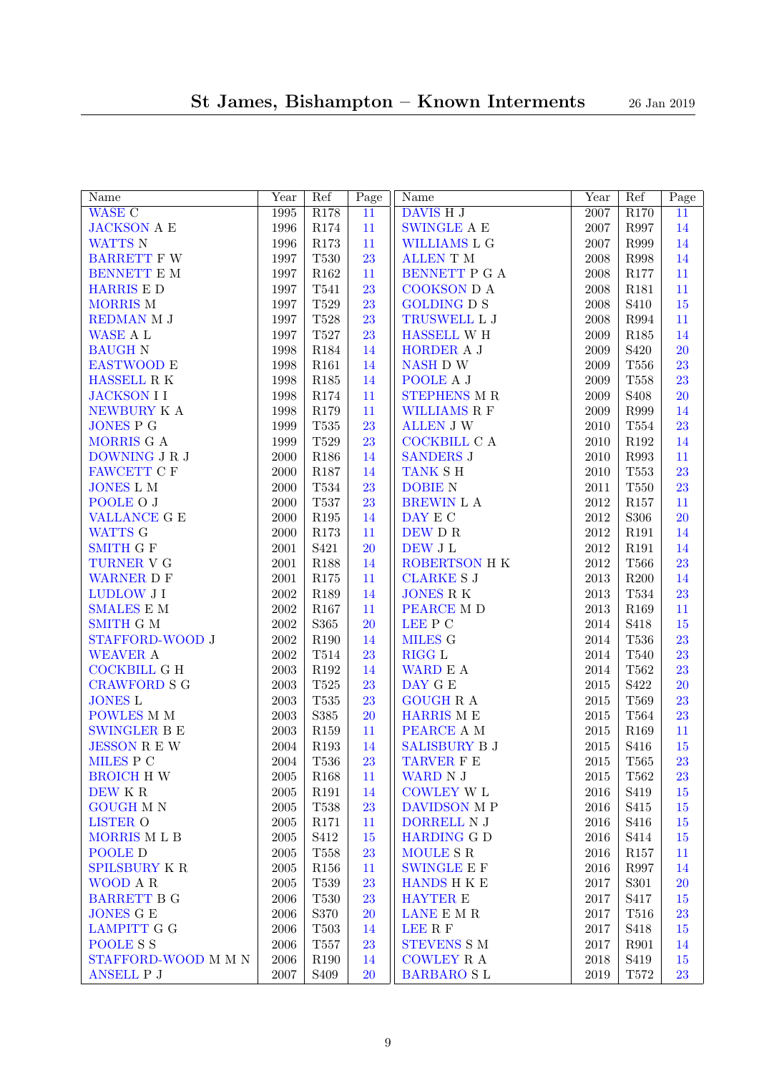| Name                 | Year       | Ref              | $\overline{\text{Page}}$ | Name                               | Year     | Ref                   | Page            |
|----------------------|------------|------------------|--------------------------|------------------------------------|----------|-----------------------|-----------------|
| <b>WASE C</b>        | 1995       | R178             | $\overline{11}$          | DAVIS H J                          | 2007     | R <sub>170</sub>      | $\overline{11}$ |
| <b>JACKSON A E</b>   | 1996       | $\rm R174$       | 11                       | <b>SWINGLE A E</b>                 | 2007     | R997                  | 14              |
| <b>WATTS N</b>       | 1996       | R173             | 11                       | WILLIAMS L G                       | 2007     | R999                  | 14              |
| <b>BARRETT F W</b>   | 1997       | T530             | 23                       | <b>ALLEN T M</b>                   | 2008     | R998                  | 14              |
| BENNETT E M          | 1997       | $\rm R162$       | 11                       | BENNETT P G A                      | 2008     | $\rm R177$            | $11\,$          |
| <b>HARRIS E D</b>    | 1997       | T541             | 23                       | COOKSON D A                        | 2008     | R181                  | $11\,$          |
| MORRIS M             | 1997       | T529             | 23                       | <b>GOLDING D S</b>                 | 2008     | S410                  | $15\,$          |
| REDMAN M J           | 1997       | T528             | 23                       | TRUSWELL L J                       | 2008     | ${\bf R}994$          | $11\,$          |
| WASE A L             | 1997       | $\rm T527$       | 23                       | <b>HASSELL WH</b>                  | 2009     | $\rm R185$            | 14              |
| <b>BAUGH N</b>       | 1998       | R184             | 14                       | HORDER A J                         | 2009     | S420                  | 20              |
| <b>EASTWOOD E</b>    | 1998       | R161             | 14                       | NASH D W                           | 2009     | $\rm T556$            | 23              |
| HASSELL R K          | 1998       | R185             | 14                       | POOLE A J                          | 2009     | $\rm T558$            | 23              |
| <b>JACKSON II</b>    | 1998       | $\rm R174$       | 11                       | <b>STEPHENS M R</b>                | 2009     | S <sub>408</sub>      | 20              |
| NEWBURY K A          | 1998       | $\rm R179$       | 11                       | <b>WILLIAMS R F</b>                | 2009     | R999                  | 14              |
| <b>JONES P G</b>     | 1999       | $\rm T535$       | 23                       | <b>ALLEN J W</b>                   | $2010\,$ | $\rm{T}554$           | 23              |
| MORRIS G A           | 1999       | $\rm{T}529$      | 23                       | COCKBILL C A                       | $2010\,$ | $\rm R192$            | 14              |
| DOWNING J R J        | 2000       | R186             | 14                       | <b>SANDERS J</b>                   | $2010\,$ | ${\bf R}993$          | 11              |
| FAWCETT C F          | 2000       | $\rm R187$       | 14                       | TANK S H                           | $2010\,$ | T553                  | 23              |
| <b>JONES L M</b>     | 2000       | T534             | 23                       | <b>DOBIE N</b>                     | $2011\,$ | $\rm T550$            | 23              |
| POOLE O J            | 2000       | $\rm T537$       | 23                       | BREWIN L A                         | $\>2012$ | $\rm R157$            | 11              |
| <b>VALLANCE G E</b>  | 2000       | R195             | 14                       | DAY E C                            | $\>2012$ | S306                  | 20              |
| WATTS G              | $2000\,$   | $\rm R173$       | 11                       | DEW D R                            | $\>2012$ | $\rm R191$            | 14              |
| <b>SMITH G F</b>     | $2001\,$   | S421             | 20                       | DEW J L                            | 2012     | $\rm R191$            | 14              |
| TURNER V G           | 2001       | $\rm R188$       | 14                       | ROBERTSON H K                      | $\>2012$ | <b>T566</b>           | 23              |
| <b>WARNER D F</b>    | 2001       | $\rm R175$       | 11                       | <b>CLARKE S J</b>                  | $\,2013$ | R200                  | 14              |
| <b>LUDLOW J I</b>    | $\,2002\,$ | R189             | 14                       | <b>JONES RK</b>                    | $\,2013$ | $\rm{T}534$           | 23              |
| <b>SMALES E M</b>    | 2002       | $\rm R167$       | 11                       | PEARCE M D                         | $\,2013$ | R169                  | 11              |
| <b>SMITH G M</b>     | 2002       | S365             | 20                       | $\ensuremath{\textrm{LEE}}$<br>P C | 2014     | S418                  | $15\,$          |
| STAFFORD-WOOD J      | $\,2002\,$ | R190             | 14                       | MILES G                            | 2014     | T536                  | 23              |
| <b>WEAVER A</b>      | 2002       | $\rm T514$       | 23                       | <b>RIGG L</b>                      | 2014     | $\rm T540$            | 23              |
| <b>COCKBILL G H</b>  | $\,2003\,$ | $\rm R192$       | 14                       | WARD E A                           | 2014     | $\rm T562$            | 23              |
| <b>CRAWFORD S G</b>  | $\,2003\,$ | T525             | 23                       | DAY G E                            | 2015     | S422                  | 20              |
| <b>JONES L</b>       | $\,2003\,$ | $\rm T535$       | 23                       | <b>GOUGH R A</b>                   | $\,2015$ | T569                  | 23              |
| POWLES M M           | $\,2003\,$ | $\mathbf{S}385$  | 20                       | HARRIS M $\cal E$                  | $\,2015$ | T564                  | 23              |
| <b>SWINGLER B E</b>  | $\,2003\,$ | R159             | 11                       | PEARCE A M                         | $\,2015$ | R169                  | 11              |
| <b>JESSON R E W</b>  | 2004       | R193             | 14                       | SALISBURY B J                      | $\,2015$ | S416                  | $15\,$          |
| MILES P C            | 2004       | $\rm T536$       | 23                       | TARVER F E                         | 2015     | <b>T565</b>           | 23              |
| <b>BROICH HW</b>     | $\,2005\,$ | R <sub>168</sub> | 11                       | WARD N J                           | $\,2015$ | T562                  | 23              |
| DEW K R              | $\,2005\,$ | R <sub>191</sub> | 14                       | <b>COWLEY W L</b>                  | $\,2016$ | S419                  | 15              |
| <b>GOUGH M N</b>     | $\,2005\,$ | T538             | 23                       | DAVIDSON M P                       | 2016     | S415                  | 15              |
| LISTER O             | $\,2005\,$ | R171             | 11                       | DORRELL N J                        | $\,2016$ | S416                  | 15              |
| MORRIS MLB           | $\,2005\,$ | S412             | 15                       | <b>HARDING G D</b>                 | $\,2016$ | S414                  | 15              |
| POOLE D              | $\,2005\,$ | T558             | 23                       | MOULE S R                          | $\,2016$ | R157                  | 11              |
| <b>SPILSBURY K R</b> | $\,2005\,$ | R156             | 11                       | <b>SWINGLE E F</b>                 | $\,2016$ | R997                  | 14              |
| WOOD A R             | $\,2005\,$ | T539             | 23                       | <b>HANDS H K E</b>                 | 2017     | S301                  | <b>20</b>       |
| <b>BARRETT B G</b>   | $\,2006\,$ | T530             | 23                       | <b>HAYTER E</b>                    | 2017     | S417                  | 15              |
| <b>JONES G E</b>     | $\,2006\,$ | S370             | <b>20</b>                | LANE E M R                         | 2017     | T516                  | 23              |
| <b>LAMPITT G G</b>   | $\,2006\,$ | T503             | 14                       | LEE R F                            | 2017     | S418                  | 15              |
| POOLE S S            | $\,2006\,$ | T <sub>557</sub> | 23                       | <b>STEVENS S M</b>                 | 2017     | R901                  | 14              |
| STAFFORD-WOOD M M N  | $\,2006\,$ | R190             | 14                       | COWLEY R A                         | $\,2018$ | S419                  | $15\,$          |
| ANSELL P J           | $2007\,$   | S <sub>409</sub> | 20                       | <b>BARBARO SL</b>                  | $\,2019$ | $\operatorname{T572}$ | 23              |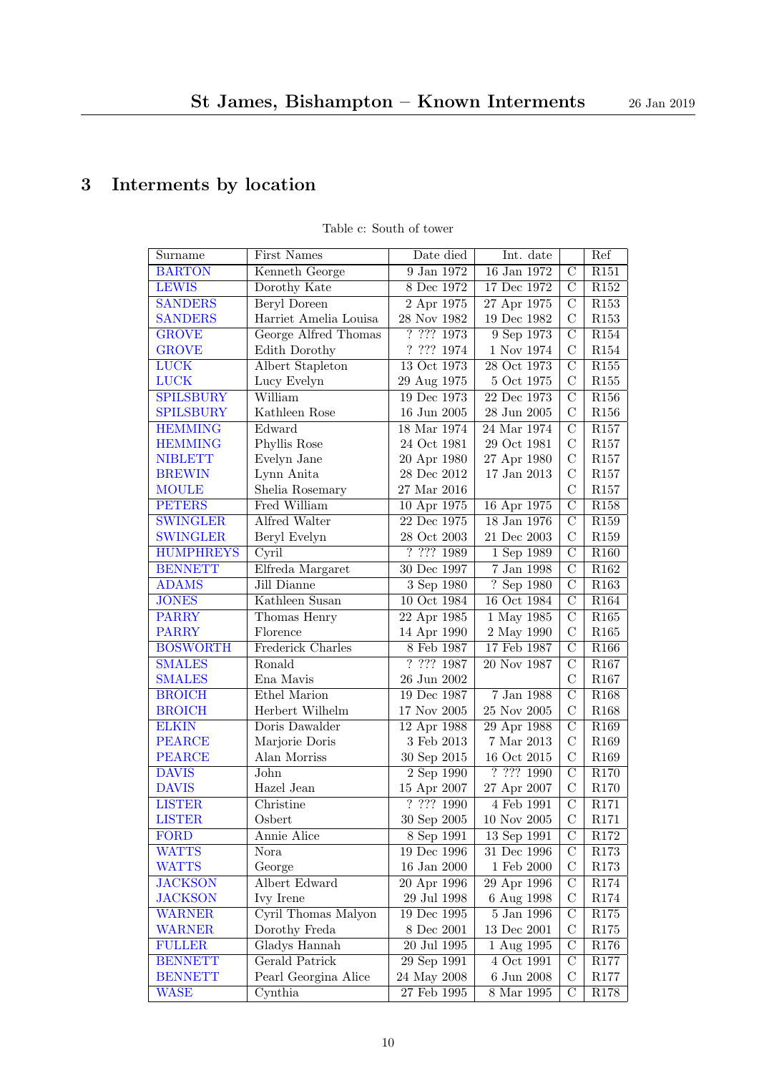## <span id="page-9-1"></span><span id="page-9-0"></span>3 Interments by location

<span id="page-9-28"></span><span id="page-9-27"></span><span id="page-9-26"></span><span id="page-9-25"></span><span id="page-9-24"></span><span id="page-9-23"></span><span id="page-9-22"></span><span id="page-9-21"></span><span id="page-9-20"></span><span id="page-9-19"></span><span id="page-9-18"></span><span id="page-9-17"></span><span id="page-9-16"></span><span id="page-9-15"></span><span id="page-9-14"></span><span id="page-9-13"></span><span id="page-9-12"></span><span id="page-9-11"></span><span id="page-9-10"></span><span id="page-9-9"></span><span id="page-9-8"></span><span id="page-9-7"></span><span id="page-9-6"></span><span id="page-9-5"></span><span id="page-9-4"></span><span id="page-9-3"></span><span id="page-9-2"></span>

| Surname          | <b>First Names</b>      | Date died                | Int. date         |                | Ref              |
|------------------|-------------------------|--------------------------|-------------------|----------------|------------------|
| <b>BARTON</b>    | Kenneth George          | 9 Jan 1972               | 16 Jan 1972       | $\mathcal{C}$  | R151             |
| <b>LEWIS</b>     | Dorothy Kate            | 8 Dec 1972               | 17 Dec 1972       | $\mathcal{C}$  | $\rm R152$       |
| <b>SANDERS</b>   | Beryl Doreen            | 2 Apr 1975               | 27 Apr 1975       | $\mathcal{C}$  | R153             |
| <b>SANDERS</b>   | Harriet Amelia Louisa   | $28\ \mathrm{Nov}\ 1982$ | $19$ Dec $1982$   | $\mathcal{C}$  | R <sub>153</sub> |
| <b>GROVE</b>     | George Alfred Thomas    | 7.7771973                | 9 Sep 1973        | $\rm C$        | ${\it R}154$     |
| <b>GROVE</b>     | Edith Dorothy           | $?\ 2?\ 1974$            | $1$ Nov $1974\,$  | $\mathcal{C}$  | $\rm R154$       |
| <b>LUCK</b>      | <b>Albert Stapleton</b> | 13 Oct 1973              | 28 Oct 1973       | $\rm C$        | R155             |
| <b>LUCK</b>      | Lucy Evelyn             | 29 Aug 1975              | 5 Oct 1975        | $\mathcal{C}$  | R <sub>155</sub> |
| <b>SPILSBURY</b> | William                 | 19 Dec 1973              | 22 Dec 1973       | $\overline{C}$ | R156             |
| <b>SPILSBURY</b> | Kathleen Rose           | $16$ Jun $2005\,$        | $28$ Jun $2005$   | $\mathcal{C}$  | R <sub>156</sub> |
| <b>HEMMING</b>   | Edward                  | 18 Mar 1974              | $24$ Mar 1974     | $\overline{C}$ | R157             |
| <b>HEMMING</b>   | Phyllis Rose            | 24 Oct 1981              | 29 Oct 1981       | $\mathcal{C}$  | R <sub>157</sub> |
| <b>NIBLETT</b>   | Evelyn Jane             | 20 Apr 1980              | 27 Apr 1980       | $\rm _C$       | R <sub>157</sub> |
| <b>BREWIN</b>    | Lynn Anita              | 28 Dec 2012              | $17$ Jan $2013\,$ | $\rm _C$       | R <sub>157</sub> |
| <b>MOULE</b>     | Shelia Rosemary         | 27 Mar 2016              |                   | $\mathcal{C}$  | R <sub>157</sub> |
| <b>PETERS</b>    | Fred William            | 10 Apr 1975              | 16 Apr 1975       | $\overline{C}$ | $\rm R158$       |
| <b>SWINGLER</b>  | Alfred Walter           | 22 Dec 1975              | $18$ Jan $1976$   | $\mathcal{C}$  | R <sub>159</sub> |
| <b>SWINGLER</b>  | Beryl Evelyn            | 28 Oct 2003              | 21 Dec 2003       | $\mathcal{C}$  | R <sub>159</sub> |
| <b>HUMPHREYS</b> | Cyril                   | ? ? ? ? 1989             | 1 Sep 1989        | $\overline{C}$ | R <sub>160</sub> |
| <b>BENNETT</b>   | Elfreda Margaret        | 30 Dec 1997              | $7$ Jan $1998\,$  | $\overline{C}$ | R <sub>162</sub> |
| <b>ADAMS</b>     | Jill Dianne             | 3 Sep 1980               | ? Sep 1980        | $\overline{C}$ | R <sub>163</sub> |
| <b>JONES</b>     | Kathleen Susan          | 10 Oct 1984              | 16 Oct 1984       | $\mathcal{C}$  | R <sub>164</sub> |
| <b>PARRY</b>     | Thomas Henry            | 22 Apr 1985              | 1 May 1985        | $\overline{C}$ | R165             |
| <b>PARRY</b>     | Florence                | 14 Apr 1990              | 2 May 1990        | $\mathcal{C}$  | R <sub>165</sub> |
| <b>BOSWORTH</b>  | Frederick Charles       | $8$ Feb $1987\,$         | 17 Feb 1987       | $\overline{C}$ | R <sub>166</sub> |
| <b>SMALES</b>    | Ronald                  | ? ??? 1987               | 20 Nov 1987       | $\overline{C}$ | R167             |
| <b>SMALES</b>    | Ena Mavis               | 26 Jun 2002              |                   | $\mathcal{C}$  | R <sub>167</sub> |
| <b>BROICH</b>    | Ethel Marion            | 19 Dec 1987              | $7$ Jan $1988\,$  | $\overline{C}$ | R <sub>168</sub> |
| <b>BROICH</b>    | Herbert Wilhelm         | $17$ Nov $2005\,$        | 25 Nov 2005       | $\mathcal{C}$  | R <sub>168</sub> |
| <b>ELKIN</b>     | Doris Dawalder          | 12 Apr 1988              | 29 Apr 1988       | $\mathcal{C}$  | R169             |
| <b>PEARCE</b>    | Marjorie Doris          | $3$ Feb $2013\,$         | $7$ Mar $2013\,$  | $\mathcal{C}$  | R <sub>169</sub> |
| <b>PEARCE</b>    | Alan Morriss            | 30 Sep 2015              | 16 Oct 2015       | $\mathcal{C}$  | R <sub>169</sub> |
| <b>DAVIS</b>     | John                    | $2$ Sep $1990$           | ? ? ? ? 1990      | $\overline{C}$ | R170             |
| <b>DAVIS</b>     | Hazel Jean              | 15 Apr 2007              | $27$ Apr $2007\,$ | $\mathcal{C}$  | R170             |
| <b>LISTER</b>    | Christine               | ? ? ? ? 1990             | 4 Feb 1991        | $\mathcal{C}$  | R171             |
| <b>LISTER</b>    | Osbert                  | $30$ Sep $2005$          | $10$ Nov $2005$   | $\mathbf C$    | R171             |
| FORD             | Annie Alice             | 8 Sep 1991               | 13 Sep 1991       | $\mathcal{C}$  | R <sub>172</sub> |
| <b>WATTS</b>     | Nora                    | 19 Dec 1996              | 31 Dec 1996       | $\mathcal{C}$  | R <sub>173</sub> |
| <b>WATTS</b>     | George                  | $16$ Jan $2000\,$        | $1$ Feb $2000\,$  | $\mathcal{C}$  | R <sub>173</sub> |
| <b>JACKSON</b>   | Albert Edward           | 20 Apr 1996              | 29 Apr 1996       | $\mathcal{C}$  | R <sub>174</sub> |
| JACKSON          | Ivy Irene               | 29 Jul 1998              | 6 Aug 1998        | $\mathcal{C}$  | R174             |
| <b>WARNER</b>    | Cyril Thomas Malyon     | 19 Dec 1995              | $5$ Jan $1996\,$  | $\mathcal{C}$  | R <sub>175</sub> |
| <b>WARNER</b>    | Dorothy Freda           | $8$ Dec $2001\,$         | $13$ Dec $2001$   | $\mathcal{C}$  | R175             |
| <b>FULLER</b>    | Gladys Hannah           | 20 Jul 1995              | 1 Aug 1995        | $\mathcal{C}$  | R176             |
| <b>BENNETT</b>   | Gerald Patrick          | $29$ Sep $1991$          | 4 Oct 1991        | $\mathcal{C}$  | R177             |
| <b>BENNETT</b>   | Pearl Georgina Alice    | 24 May 2008              | 6 Jun 2008        | $\mathcal{C}$  | R177             |
| <b>WASE</b>      | Cynthia                 | 27 Feb 1995              | 8 Mar 1995        | $\mathcal{C}$  | R178             |

### Table c: South of tower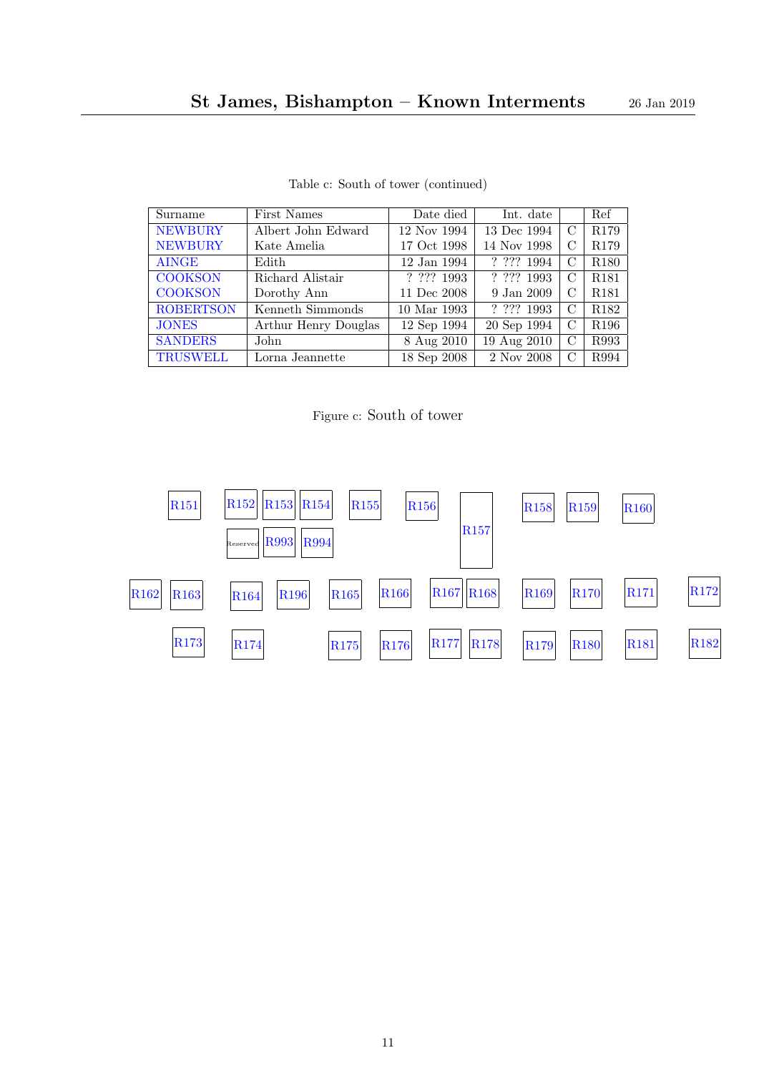<span id="page-10-32"></span><span id="page-10-29"></span><span id="page-10-25"></span><span id="page-10-19"></span><span id="page-10-10"></span><span id="page-10-2"></span>

| Surname          | First Names          | Date died    | Int. date                                                           |   | Ref              |
|------------------|----------------------|--------------|---------------------------------------------------------------------|---|------------------|
| <b>NEWBURY</b>   | Albert John Edward   | 12 Nov 1994  | 13 Dec 1994                                                         | С | R <sub>179</sub> |
| <b>NEWBURY</b>   | Kate Amelia          | 17 Oct 1998  | 14 Nov 1998                                                         | С | R179             |
| <b>AINGE</b>     | Edith                | 12 Jan 1994  | ? ? ? ? 1994                                                        | C | R <sub>180</sub> |
| <b>COOKSON</b>   | Richard Alistair     | ? ? ? ? 1993 | ? ? ? ? 1993                                                        | C | <b>R181</b>      |
| <b>COOKSON</b>   | Dorothy Ann          | 11 Dec 2008  | 9 Jan 2009                                                          | С | R <sub>181</sub> |
| <b>ROBERTSON</b> | Kenneth Simmonds     | 10 Mar 1993  | $\overline{?} \ \overline{?}\ \overline{?} \ \overline{?} \ \ 1993$ | С | R <sub>182</sub> |
| <b>JONES</b>     | Arthur Henry Douglas | 12 Sep 1994  | 20 Sep 1994                                                         | С | R <sub>196</sub> |
| <b>SANDERS</b>   | John                 | 8 Aug 2010   | 19 Aug 2010                                                         | С | R993             |
| <b>TRUSWELL</b>  | Lorna Jeannette      | 18 Sep 2008  | 2 Nov 2008                                                          | C | R994             |

Table c: South of tower (continued)

<span id="page-10-75"></span><span id="page-10-72"></span><span id="page-10-71"></span><span id="page-10-70"></span><span id="page-10-69"></span><span id="page-10-68"></span><span id="page-10-67"></span><span id="page-10-66"></span><span id="page-10-65"></span><span id="page-10-62"></span><span id="page-10-61"></span><span id="page-10-60"></span><span id="page-10-59"></span><span id="page-10-58"></span><span id="page-10-57"></span><span id="page-10-56"></span><span id="page-10-55"></span><span id="page-10-51"></span><span id="page-10-50"></span><span id="page-10-49"></span><span id="page-10-48"></span><span id="page-10-47"></span><span id="page-10-46"></span><span id="page-10-45"></span><span id="page-10-41"></span><span id="page-10-40"></span><span id="page-10-38"></span><span id="page-10-36"></span><span id="page-10-35"></span><span id="page-10-34"></span><span id="page-10-33"></span><span id="page-10-31"></span><span id="page-10-30"></span><span id="page-10-28"></span><span id="page-10-26"></span><span id="page-10-24"></span><span id="page-10-23"></span><span id="page-10-20"></span><span id="page-10-17"></span><span id="page-10-16"></span><span id="page-10-15"></span><span id="page-10-14"></span><span id="page-10-13"></span><span id="page-10-12"></span><span id="page-10-11"></span><span id="page-10-9"></span><span id="page-10-8"></span><span id="page-10-7"></span><span id="page-10-6"></span><span id="page-10-5"></span><span id="page-10-4"></span><span id="page-10-3"></span><span id="page-10-0"></span>Figure c: South of tower

<span id="page-10-74"></span><span id="page-10-73"></span><span id="page-10-64"></span><span id="page-10-63"></span><span id="page-10-54"></span><span id="page-10-53"></span><span id="page-10-52"></span><span id="page-10-44"></span><span id="page-10-43"></span><span id="page-10-42"></span><span id="page-10-39"></span><span id="page-10-37"></span><span id="page-10-27"></span><span id="page-10-22"></span><span id="page-10-21"></span><span id="page-10-18"></span><span id="page-10-1"></span>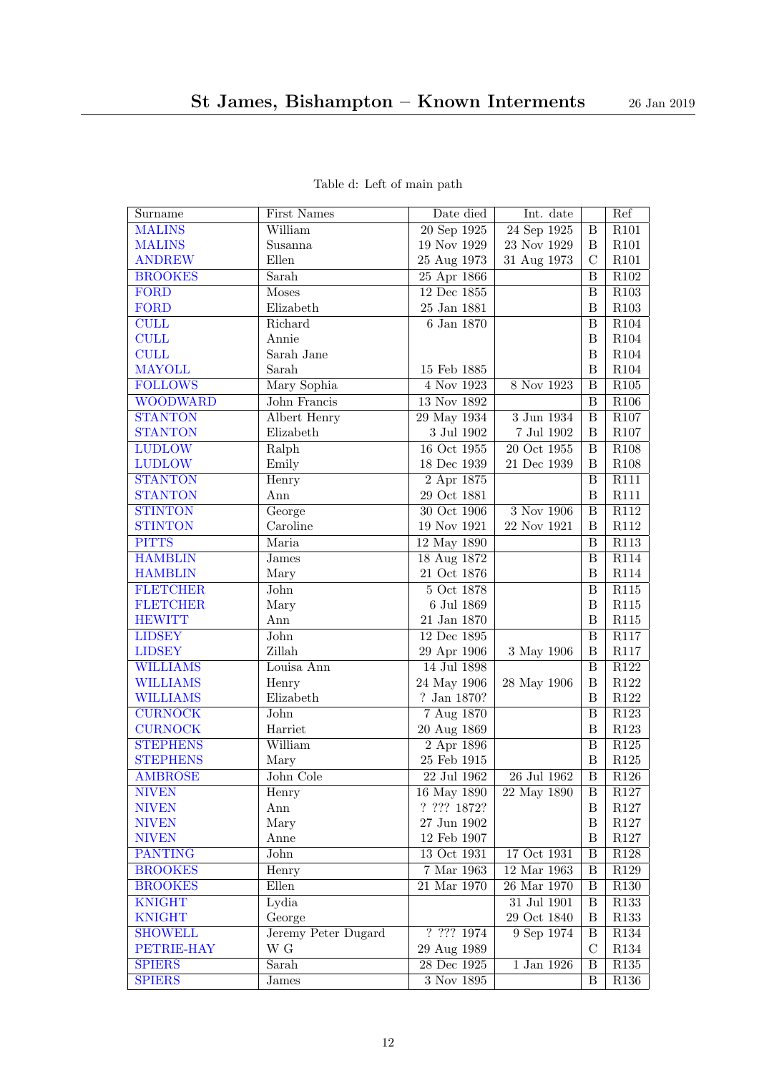<span id="page-11-26"></span><span id="page-11-25"></span><span id="page-11-24"></span><span id="page-11-23"></span><span id="page-11-22"></span><span id="page-11-21"></span><span id="page-11-20"></span><span id="page-11-19"></span><span id="page-11-18"></span><span id="page-11-17"></span><span id="page-11-16"></span><span id="page-11-15"></span><span id="page-11-14"></span><span id="page-11-13"></span><span id="page-11-12"></span><span id="page-11-11"></span><span id="page-11-10"></span><span id="page-11-9"></span><span id="page-11-8"></span><span id="page-11-7"></span><span id="page-11-6"></span><span id="page-11-5"></span><span id="page-11-4"></span><span id="page-11-3"></span><span id="page-11-2"></span><span id="page-11-1"></span><span id="page-11-0"></span>

| Surname         | <b>First Names</b>         | Date died                  | Int. date                   |                         | Ref              |
|-----------------|----------------------------|----------------------------|-----------------------------|-------------------------|------------------|
| <b>MALINS</b>   | William                    | 20 Sep 1925                | 24 Sep 1925                 | B                       | R101             |
| <b>MALINS</b>   | Susanna                    | $19$ Nov $1929$            | 23 Nov 1929                 | B                       | R101             |
| <b>ANDREW</b>   | Ellen                      | 25 Aug 1973                | 31 Aug 1973                 | $\mathcal{C}$           | R101             |
| <b>BROOKES</b>  | Sarah                      | $25$ Apr $1866$            |                             | B                       | R102             |
| <b>FORD</b>     | <b>Moses</b>               | 12 Dec 1855                |                             | $\, {\bf B}$            | R103             |
| <b>FORD</b>     | Elizabeth                  | $25\ {\rm Jan}\ 1881$      |                             | $\mathbf B$             | R103             |
| <b>CULL</b>     | Richard                    | 6 Jan 1870                 |                             | B                       | R104             |
| <b>CULL</b>     | Annie                      |                            |                             | $\, {\bf B}$            | $\rm R104$       |
| <b>CULL</b>     | Sarah Jane                 |                            |                             | $\boldsymbol{B}$        | R104             |
| <b>MAYOLL</b>   | Sarah                      | 15 Feb 1885                |                             | B                       | R104             |
| <b>FOLLOWS</b>  | Mary Sophia                | 4 Nov 1923                 | 8 Nov 1923                  | B                       | $\rm R105$       |
| <b>WOODWARD</b> | John Francis               | 13 Nov 1892                |                             | $\, {\bf B}$            | R106             |
| <b>STANTON</b>  | Albert Henry               | 29 May 1934                | 3 Jun 1934                  | B                       | R <sub>107</sub> |
| <b>STANTON</b>  | Elizabeth                  | $3$ Jul $1902\,$           | $7$ Jul $1902\,$            | $\, {\bf B}$            | $\rm R107$       |
| <b>LUDLOW</b>   | Ralph                      | 16 Oct 1955                | 20 Oct 1955                 | $\overline{B}$          | R108             |
| <b>LUDLOW</b>   | Emily                      | 18 Dec 1939                | 21 Dec 1939                 | B                       | R108             |
| <b>STANTON</b>  | Henry                      | $2$ Apr $1875$             |                             | B                       | R111             |
| <b>STANTON</b>  | Ann                        | 29 Oct 1881                |                             | B                       | R111             |
| <b>STINTON</b>  | George                     | 30 Oct 1906                | 3 Nov 1906                  | B                       | R112             |
| <b>STINTON</b>  | Caroline                   | 19 Nov 1921                | 22 Nov 1921                 | $\boldsymbol{B}$        | R112             |
| <b>PITTS</b>    | Maria                      | 12 May 1890                |                             | $\overline{B}$          | R113             |
| <b>HAMBLIN</b>  | <b>James</b>               | 18 Aug 1872                |                             | $\, {\bf B}$            | R114             |
| <b>HAMBLIN</b>  | Mary                       | 21 Oct 1876                |                             | $\, {\bf B}$            | R114             |
| <b>FLETCHER</b> | John                       | $5$ Oct $1878$             |                             | $\overline{B}$          | R115             |
| <b>FLETCHER</b> | Mary                       | 6 Jul 1869                 |                             | $\, {\bf B}$            | R115             |
| <b>HEWITT</b>   | Ann                        | $21\ \mathrm{Jan}\ 1870$   |                             | $\, {\bf B}$            | R115             |
| <b>LIDSEY</b>   | John                       | 12 Dec 1895                |                             | $\, {\bf B}$            | R117             |
| <b>LIDSEY</b>   | Zillah                     | 29 Apr 1906                | 3 May 1906                  | $\, {\bf B}$            | $\rm R117$       |
| <b>WILLIAMS</b> | Louisa Ann                 | 14 Jul 1898                |                             | $\, {\bf B}$            | $\rm R122$       |
| <b>WILLIAMS</b> | Henry                      | 24 May 1906                | 28 May 1906                 | $\, {\bf B}$            | $\rm R122$       |
| <b>WILLIAMS</b> | Elizabeth                  | ? Jan 1870?                |                             | $\, {\bf B}$            | $\rm R122$       |
| <b>CURNOCK</b>  | $\overline{\mathrm{John}}$ | $7$ Aug $1870$             |                             | $\overline{\mathbf{B}}$ | R123             |
| <b>CURNOCK</b>  | Harriet                    | 20 Aug 1869                |                             | $\, {\bf B}$            | R123             |
| <b>STEPHENS</b> | William                    | 2 Apr 1896                 |                             | B                       | R125             |
| <b>STEPHENS</b> | Mary                       | 25 Feb 1915                |                             | $\, {\bf B}$            | $\rm R125$       |
| <b>AMBROSE</b>  | John Cole                  | $22\ \mathrm{Jul}$ $1962$  | 26 Jul 1962                 | $\overline{B}$          | R126             |
| <b>NIVEN</b>    | Henry                      | 16 May 1890                | 22 May 1890                 | B                       | $\rm R127$       |
| <b>NIVEN</b>    | Ann                        | ? ? ? ? 1872?              |                             | $\, {\bf B}$            | R127             |
| <b>NIVEN</b>    | Mary                       | 27 Jun 1902                |                             | $\, {\bf B}$            | $\rm R127$       |
| <b>NIVEN</b>    | Anne                       | $12$ Feb $1907\,$          |                             | $\, {\bf B}$            | R127             |
| <b>PANTING</b>  | John                       | 13 Oct 1931                | 17 Oct 1931                 | $\, {\bf B}$            | $\rm R128$       |
| <b>BROOKES</b>  | Henry                      | 7 Mar 1963                 | 12 Mar 1963                 | $\, {\bf B}$            | R129             |
| <b>BROOKES</b>  | $Ellen$                    | $21\ \mathrm{Mar}$ $1970$  | $26\ \mathrm{Mar}$ $1970\,$ | $\, {\bf B}$            | R130             |
| <b>KNIGHT</b>   | Lydia                      |                            | 31 Jul 1901                 | $\, {\bf B}$            | R <sub>133</sub> |
| <b>KNIGHT</b>   | George                     |                            | 29 Oct 1840                 | $\, {\bf B}$            | R133             |
| <b>SHOWELL</b>  | Jeremy Peter Dugard        | ? ? ? ? 1974               | 9 Sep 1974                  | $\, {\bf B}$            | R134             |
| PETRIE-HAY      | $\mathbf W$ G              |                            |                             | $\mathcal{C}$           | R134             |
| <b>SPIERS</b>   | Sarah                      | 29 Aug 1989<br>28 Dec 1925 | $1$ Jan $1926$              | $\, {\bf B}$            | R135             |
|                 |                            |                            |                             |                         |                  |
| <b>SPIERS</b>   | $_{\rm James}$             | $\overline{3}$ Nov $1895$  |                             | $\, {\bf B}$            | R <sub>136</sub> |

### Table d: Left of main path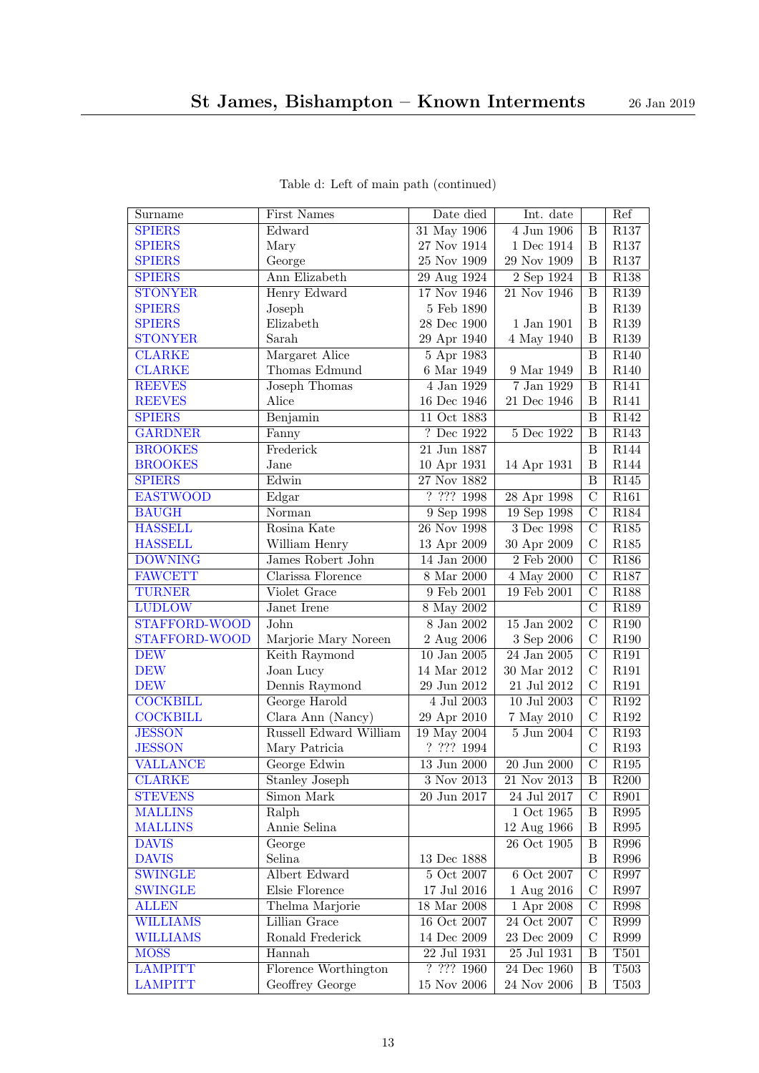<span id="page-12-29"></span><span id="page-12-28"></span><span id="page-12-27"></span><span id="page-12-26"></span><span id="page-12-25"></span><span id="page-12-24"></span><span id="page-12-23"></span><span id="page-12-22"></span><span id="page-12-21"></span><span id="page-12-20"></span><span id="page-12-19"></span><span id="page-12-18"></span><span id="page-12-17"></span><span id="page-12-16"></span><span id="page-12-15"></span><span id="page-12-14"></span><span id="page-12-13"></span><span id="page-12-12"></span><span id="page-12-11"></span><span id="page-12-10"></span><span id="page-12-9"></span><span id="page-12-8"></span><span id="page-12-7"></span><span id="page-12-6"></span><span id="page-12-5"></span><span id="page-12-4"></span><span id="page-12-3"></span><span id="page-12-2"></span><span id="page-12-1"></span><span id="page-12-0"></span>

| Surname         | First Names            | Date died                | Int. date                             |                    | Ref               |
|-----------------|------------------------|--------------------------|---------------------------------------|--------------------|-------------------|
| <b>SPIERS</b>   | Edward                 | 31 May 1906              | 4 Jun 1906                            | B                  | R137              |
| <b>SPIERS</b>   | Mary                   | 27 Nov 1914              | 1 Dec 1914                            | B                  | R137              |
| <b>SPIERS</b>   | George                 | $25\ \mathrm{Nov}\ 1909$ | 29 Nov 1909                           | B                  | $\rm R137$        |
| <b>SPIERS</b>   | Ann Elizabeth          | 29 Aug 1924              | 2 Sep 1924                            | B                  | R138              |
| <b>STONYER</b>  | Henry Edward           | 17 Nov 1946              | 21 Nov 1946                           | B                  | R <sub>139</sub>  |
| <b>SPIERS</b>   | Joseph                 | 5 Feb 1890               |                                       | $\boldsymbol{B}$   | R139              |
| <b>SPIERS</b>   | Elizabeth              | 28 Dec 1900              | 1 Jan 1901                            | B                  | R139              |
| <b>STONYER</b>  | Sarah                  | 29 Apr 1940              | 4 May 1940                            | B                  | R139              |
| <b>CLARKE</b>   | Margaret Alice         | 5 Apr 1983               |                                       | B                  | R140              |
| <b>CLARKE</b>   | Thomas Edmund          | 6 Mar 1949               | 9 Mar 1949                            | B                  | R140              |
| <b>REEVES</b>   | Joseph Thomas          | 4 Jan 1929               | 7 Jan 1929                            | B                  | R141              |
| <b>REEVES</b>   | Alice                  | 16 Dec 1946              | 21 Dec 1946                           | B                  | R141              |
| <b>SPIERS</b>   | Benjamin               | 11 Oct 1883              |                                       | B                  | R142              |
| <b>GARDNER</b>  | Fanny                  | ? Dec 1922               | 5 Dec 1922                            | B                  | R <sub>143</sub>  |
| <b>BROOKES</b>  | Frederick              | 21 Jun 1887              |                                       | B                  | $\overline{R144}$ |
| <b>BROOKES</b>  | Jane                   | 10 Apr 1931              | 14 Apr 1931                           | B                  | R144              |
| <b>SPIERS</b>   | Edwin                  | 27 Nov 1882              |                                       | $\, {\bf B}$       | R145              |
| <b>EASTWOOD</b> | Edgar                  | 7.7771998                | 28 Apr 1998                           | $\overline{\rm C}$ | R <sub>161</sub>  |
| <b>BAUGH</b>    | Norman                 | 9 Sep 1998               | 19 Sep 1998                           | $\overline{C}$     | R184              |
| <b>HASSELL</b>  | Rosina Kate            | 26 Nov 1998              | 3 Dec 1998                            | $\mathcal{C}$      | R185              |
| <b>HASSELL</b>  | William Henry          | 13 Apr 2009              | 30 Apr 2009                           | $\mathcal{C}$      | $\rm R185$        |
| <b>DOWNING</b>  | James Robert John      | 14 Jan 2000              | $2$ Feb $2000\,$                      | $\mathcal{C}$      | R186              |
| <b>FAWCETT</b>  | Clarissa Florence      | $8$ Mar $2000$           | 4 May 2000                            | $\overline{C}$     | R187              |
| <b>TURNER</b>   | Violet Grace           | $9$ Feb $2001\,$         | 19 Feb 2001                           | $\overline{C}$     | R188              |
| <b>LUDLOW</b>   | Janet Irene            | 8 May 2002               |                                       | $\overline{C}$     | R <sub>189</sub>  |
| STAFFORD-WOOD   | John                   | 8 Jan 2002               | 15 Jan 2002                           | $\overline{C}$     | R <sub>190</sub>  |
| STAFFORD-WOOD   | Marjorie Mary Noreen   | 2 Aug 2006               | 3 Sep 2006                            | $\overline{C}$     | R190              |
| <b>DEW</b>      | Keith Raymond          | $10$ Jan $2005$          | $\overline{24}$ Jan $\overline{2005}$ | $\overline{\rm C}$ | R <sub>191</sub>  |
| <b>DEW</b>      | Joan Lucy              | 14 Mar 2012              | 30 Mar 2012                           | C                  | R191              |
| <b>DEW</b>      | Dennis Raymond         | 29 Jun 2012              | 21 Jul 2012                           | $\mathcal{C}$      | R191              |
| <b>COCKBILL</b> | George Harold          | 4 Jul 2003               | $10$ Jul $2003\,$                     | $\mathcal{C}$      | $\rm R192$        |
| <b>COCKBILL</b> | Clara Ann (Nancy)      | 29 Apr 2010              | 7 May 2010                            | $\mathcal{C}$      | $\rm R192$        |
| <b>JESSON</b>   | Russell Edward William | 19 May 2004              | $5$ Jun $2004\,$                      | $\overline{C}$     | R193              |
| <b>JESSON</b>   | Mary Patricia          | ? ??? 1994               |                                       | $\mathcal{C}$      | R193              |
| <b>VALLANCE</b> | George Edwin           | $\overline{13}$ Jun 2000 | $20$ Jun $2000\,$                     | $\overline{C}$     | R195              |
| <b>CLARKE</b>   | <b>Stanley Joseph</b>  | 3 Nov 2013               | 21 Nov 2013                           | $\overline{B}$     | R200              |
| <b>STEVENS</b>  | Simon Mark             | 20 Jun 2017              | 24 Jul 2017                           | $\mathcal{C}$      | R901              |
| <b>MALLINS</b>  | Ralph                  |                          | $1$ Oct $1965\,$                      | B                  | R995              |
| <b>MALLINS</b>  | Annie Selina           |                          | 12 Aug 1966                           | B                  | ${\bf R995}$      |
| <b>DAVIS</b>    | George                 |                          | 26 Oct 1905                           | $\, {\bf B}$       | R996              |
| <b>DAVIS</b>    | Selina                 | 13 Dec 1888              |                                       | $\, {\bf B}$       | R996              |
| <b>SWINGLE</b>  | Albert Edward          | $5$ Oct $2007\,$         | 6 Oct 2007                            | $\mathcal{C}$      | R997              |
| <b>SWINGLE</b>  | Elsie Florence         | 17 Jul 2016              | 1 Aug 2016                            | $\mathcal{C}$      | R997              |
| <b>ALLEN</b>    | Thelma Marjorie        | 18 Mar 2008              | 1 Apr 2008                            | $\mathcal{C}$      | R998              |
| <b>WILLIAMS</b> | Lillian Grace          | 16 Oct 2007              | $\overline{24}$ Oct 2007              | $\mathcal{C}$      | R999              |
| <b>WILLIAMS</b> | Ronald Frederick       | $14$ Dec $2009\,$        | $23$ Dec $2009\,$                     | $\mathcal{C}$      | R999              |
| <b>MOSS</b>     | Hannah                 | 22 Jul 1931              | $25\,$ Jul $1931$                     | $\, {\bf B}$       | $\rm T501$        |
| <b>LAMPITT</b>  | Florence Worthington   | ? ??? 1960               | 24 Dec 1960                           | $\, {\bf B}$       | T <sub>503</sub>  |
| <b>LAMPITT</b>  | Geoffrey George        | $15$ Nov $2006\,$        | $24$ Nov $2006\,$                     | $\, {\bf B}$       | T503              |

Table d: Left of main path (continued)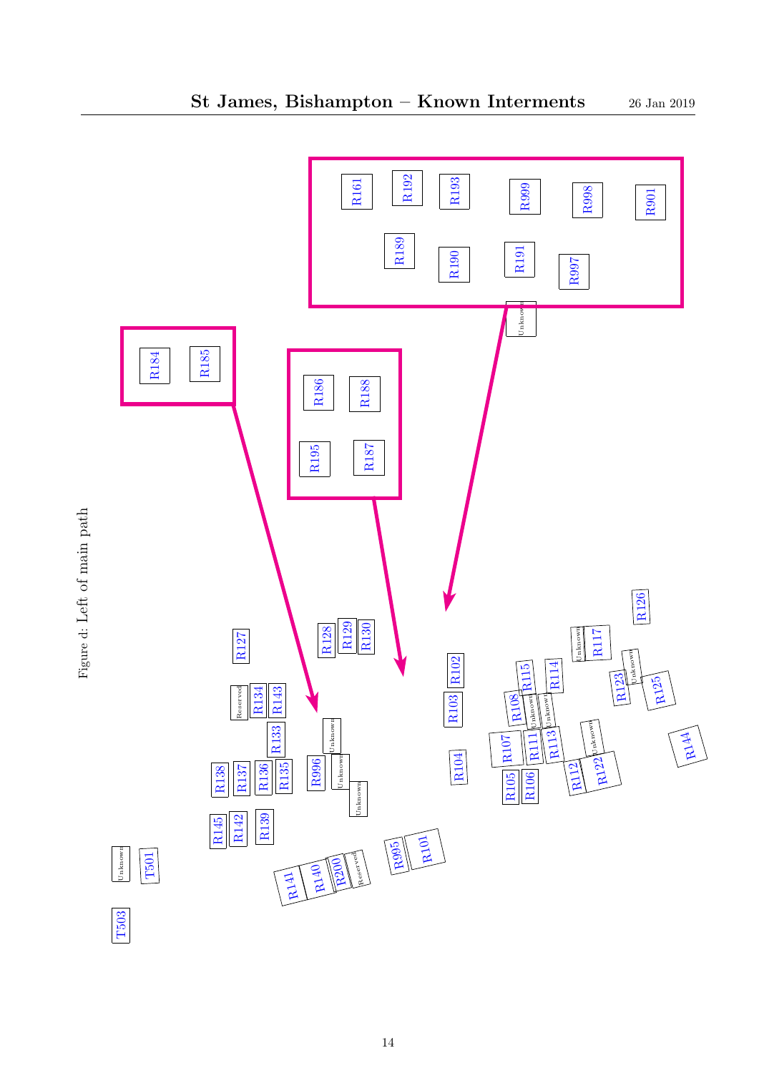<span id="page-13-112"></span><span id="page-13-111"></span><span id="page-13-110"></span><span id="page-13-109"></span><span id="page-13-108"></span><span id="page-13-107"></span><span id="page-13-106"></span><span id="page-13-105"></span><span id="page-13-104"></span><span id="page-13-103"></span><span id="page-13-102"></span><span id="page-13-101"></span><span id="page-13-100"></span><span id="page-13-99"></span><span id="page-13-98"></span><span id="page-13-97"></span><span id="page-13-96"></span><span id="page-13-95"></span><span id="page-13-94"></span><span id="page-13-93"></span><span id="page-13-92"></span><span id="page-13-91"></span><span id="page-13-90"></span><span id="page-13-89"></span><span id="page-13-88"></span><span id="page-13-87"></span><span id="page-13-86"></span><span id="page-13-85"></span><span id="page-13-84"></span><span id="page-13-83"></span><span id="page-13-82"></span><span id="page-13-81"></span><span id="page-13-80"></span><span id="page-13-79"></span><span id="page-13-78"></span><span id="page-13-77"></span><span id="page-13-76"></span><span id="page-13-75"></span><span id="page-13-74"></span><span id="page-13-73"></span><span id="page-13-72"></span><span id="page-13-71"></span><span id="page-13-70"></span><span id="page-13-69"></span><span id="page-13-68"></span><span id="page-13-67"></span><span id="page-13-66"></span><span id="page-13-65"></span><span id="page-13-64"></span><span id="page-13-63"></span><span id="page-13-62"></span><span id="page-13-61"></span><span id="page-13-60"></span><span id="page-13-59"></span><span id="page-13-58"></span><span id="page-13-57"></span><span id="page-13-56"></span><span id="page-13-55"></span><span id="page-13-54"></span><span id="page-13-53"></span><span id="page-13-52"></span><span id="page-13-51"></span><span id="page-13-50"></span><span id="page-13-49"></span><span id="page-13-48"></span><span id="page-13-47"></span><span id="page-13-46"></span><span id="page-13-45"></span><span id="page-13-44"></span><span id="page-13-43"></span><span id="page-13-42"></span><span id="page-13-41"></span><span id="page-13-40"></span><span id="page-13-39"></span><span id="page-13-38"></span><span id="page-13-37"></span><span id="page-13-36"></span><span id="page-13-35"></span><span id="page-13-34"></span><span id="page-13-33"></span><span id="page-13-32"></span><span id="page-13-31"></span><span id="page-13-30"></span><span id="page-13-29"></span><span id="page-13-28"></span><span id="page-13-27"></span><span id="page-13-26"></span><span id="page-13-25"></span><span id="page-13-24"></span><span id="page-13-23"></span><span id="page-13-22"></span><span id="page-13-21"></span><span id="page-13-20"></span><span id="page-13-19"></span><span id="page-13-18"></span><span id="page-13-17"></span><span id="page-13-16"></span><span id="page-13-15"></span><span id="page-13-14"></span><span id="page-13-13"></span><span id="page-13-12"></span><span id="page-13-11"></span><span id="page-13-10"></span><span id="page-13-9"></span><span id="page-13-8"></span><span id="page-13-7"></span><span id="page-13-6"></span><span id="page-13-5"></span><span id="page-13-4"></span><span id="page-13-3"></span><span id="page-13-2"></span><span id="page-13-1"></span><span id="page-13-0"></span>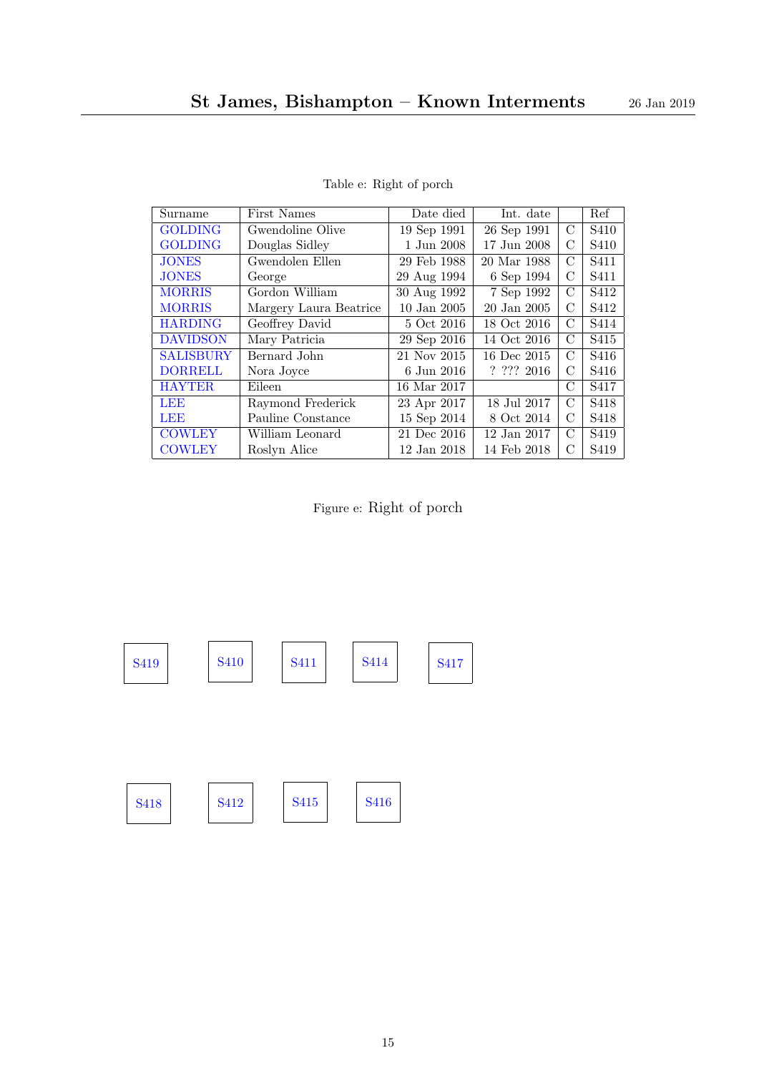<span id="page-14-18"></span><span id="page-14-14"></span><span id="page-14-12"></span><span id="page-14-10"></span><span id="page-14-8"></span><span id="page-14-6"></span><span id="page-14-4"></span><span id="page-14-0"></span>

| Surname          | First Names            | Date died       | Int. date       |               | Ref              |
|------------------|------------------------|-----------------|-----------------|---------------|------------------|
| <b>GOLDING</b>   | Gwendoline Olive       | 19 Sep 1991     | 26 Sep 1991     | $\mathcal{C}$ | S <sub>410</sub> |
| <b>GOLDING</b>   | Douglas Sidley         | 1 Jun 2008      | 17 Jun 2008     | С             | S <sub>410</sub> |
| <b>JONES</b>     | Gwendolen Ellen        | 29 Feb 1988     | 20 Mar 1988     | С             | S <sub>411</sub> |
| <b>JONES</b>     | George                 | 29 Aug 1994     | 6 Sep 1994      | С             | S <sub>411</sub> |
| <b>MORRIS</b>    | Gordon William         | 30 Aug 1992     | 7 Sep 1992      | $\mathcal{C}$ | S412             |
| <b>MORRIS</b>    | Margery Laura Beatrice | $10$ Jan $2005$ | $20$ Jan $2005$ | С             | S412             |
| <b>HARDING</b>   | Geoffrey David         | 5 Oct 2016      | 18 Oct 2016     | С             | S414             |
| <b>DAVIDSON</b>  | Mary Patricia          | 29 Sep 2016     | 14 Oct 2016     | $\rm C$       | S415             |
| <b>SALISBURY</b> | Bernard John           | 21 Nov 2015     | 16 Dec 2015     | $\mathcal{C}$ | S416             |
| <b>DORRELL</b>   | Nora Joyce             | 6 Jun 2016      | ? ? ? ? 2016    | С             | S416             |
| <b>HAYTER</b>    | Eileen                 | 16 Mar 2017     |                 | С             | S417             |
| LEE              | Raymond Frederick      | 23 Apr 2017     | 18 Jul 2017     | C             | S418             |
| <b>LEE</b>       | Pauline Constance      | 15 Sep 2014     | 8 Oct 2014      | $\mathcal{C}$ | S <sub>418</sub> |
| <b>COWLEY</b>    | William Leonard        | 21 Dec 2016     | 12 Jan 2017     | С             | S <sub>419</sub> |
| <b>COWLEY</b>    | Roslyn Alice           | 12 Jan 2018     | 14 Feb 2018     | С             | S <sub>419</sub> |

Table e: Right of porch

<span id="page-14-26"></span><span id="page-14-23"></span><span id="page-14-19"></span><span id="page-14-17"></span><span id="page-14-16"></span><span id="page-14-13"></span><span id="page-14-9"></span><span id="page-14-5"></span><span id="page-14-2"></span>Figure e: Right of porch

<span id="page-14-28"></span><span id="page-14-27"></span><span id="page-14-25"></span><span id="page-14-24"></span><span id="page-14-22"></span><span id="page-14-21"></span><span id="page-14-20"></span><span id="page-14-15"></span><span id="page-14-11"></span><span id="page-14-7"></span><span id="page-14-3"></span><span id="page-14-1"></span>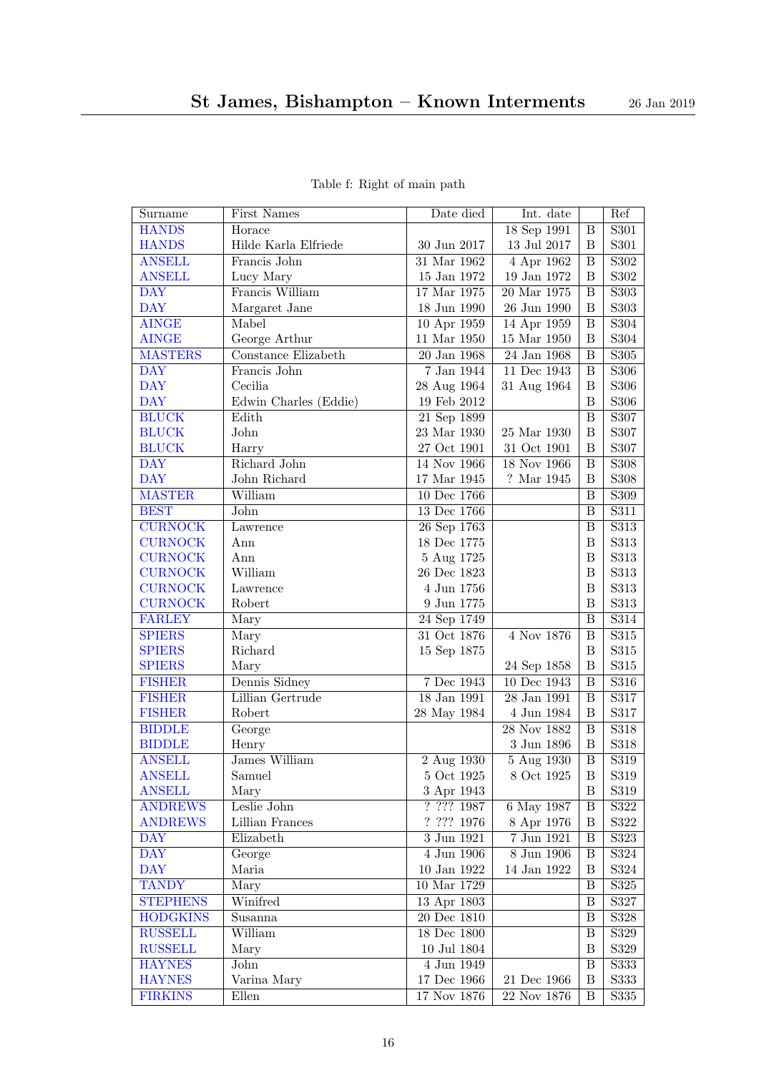<span id="page-15-26"></span><span id="page-15-25"></span><span id="page-15-24"></span><span id="page-15-23"></span><span id="page-15-22"></span><span id="page-15-21"></span><span id="page-15-20"></span><span id="page-15-19"></span><span id="page-15-18"></span><span id="page-15-17"></span><span id="page-15-16"></span><span id="page-15-15"></span><span id="page-15-14"></span><span id="page-15-13"></span><span id="page-15-12"></span><span id="page-15-11"></span><span id="page-15-10"></span><span id="page-15-9"></span><span id="page-15-8"></span><span id="page-15-7"></span><span id="page-15-6"></span><span id="page-15-5"></span><span id="page-15-4"></span><span id="page-15-3"></span><span id="page-15-2"></span><span id="page-15-1"></span><span id="page-15-0"></span>

| Surname         | First Names           | Date died                | Int. date         |                         | Ref               |
|-----------------|-----------------------|--------------------------|-------------------|-------------------------|-------------------|
| <b>HANDS</b>    | Horace                |                          | 18 Sep 1991       | $\, {\bf B}$            | S301              |
| <b>HANDS</b>    | Hilde Karla Elfriede  | 30 Jun 2017              | 13 Jul 2017       | B                       | S301              |
| <b>ANSELL</b>   | Francis John          | 31 Mar 1962              | 4 Apr 1962        | B                       | S302              |
| <b>ANSELL</b>   | Lucy Mary             | $15$ Jan $1972\,$        | $19$ Jan $1972\,$ | B                       | S302              |
| <b>DAY</b>      | Francis William       | 17 Mar 1975              | 20 Mar 1975       | $\boldsymbol{B}$        | S303              |
| <b>DAY</b>      | Margaret Jane         | 18 Jun 1990              | 26 Jun 1990       | B                       | S303              |
| <b>AINGE</b>    | Mabel                 | 10 Apr 1959              | 14 Apr 1959       | $\overline{\mathbf{B}}$ | S304              |
| <b>AINGE</b>    | George Arthur         | 11 Mar 1950              | $15$ Mar $1950\,$ | B                       | S304              |
| <b>MASTERS</b>  | Constance Elizabeth   | 20 Jan 1968              | $24$ Jan $1968\,$ | B                       | S305              |
| <b>DAY</b>      | Francis John          | 7 Jan 1944               | 11 Dec 1943       | B                       | $\overline{$}306$ |
| <b>DAY</b>      | Cecilia               | 28 Aug 1964              | 31 Aug 1964       | B                       | S306              |
| <b>DAY</b>      | Edwin Charles (Eddie) | $19$ Feb $2012\,$        |                   | B                       | S306              |
| <b>BLUCK</b>    | Edith                 | $\overline{21}$ Sep 1899 |                   | B                       | S307              |
| <b>BLUCK</b>    | John                  | 23 Mar 1930              | 25 Mar 1930       | B                       | S307              |
| <b>BLUCK</b>    | Harry                 | 27 Oct 1901              | 31 Oct 1901       | $\, {\bf B}$            | S307              |
| <b>DAY</b>      | Richard John          | 14 Nov 1966              | 18 Nov 1966       | B                       | S308              |
| <b>DAY</b>      | John Richard          | 17 Mar 1945              | $?$ Mar $1945\,$  | B                       | S308              |
| <b>MASTER</b>   | William               | 10 Dec 1766              |                   | B                       | S309              |
| <b>BEST</b>     | John                  | 13 Dec 1766              |                   | B                       | S311              |
| <b>CURNOCK</b>  | Lawrence              | 26 Sep 1763              |                   | B                       | $\overline{S313}$ |
| <b>CURNOCK</b>  | Ann                   | 18 Dec 1775              |                   | B                       | S313              |
| <b>CURNOCK</b>  | Ann                   | 5 Aug 1725               |                   | B                       | S313              |
| <b>CURNOCK</b>  | William               | 26 Dec 1823              |                   | B                       | S313              |
| <b>CURNOCK</b>  | Lawrence              | $4$ Jun $1756\,$         |                   | B                       | S313              |
| <b>CURNOCK</b>  | Robert                | $9$ Jun $1775\,$         |                   | B                       | S313              |
| <b>FARLEY</b>   | Mary                  | 24 Sep 1749              |                   | B                       | $\overline{S314}$ |
| <b>SPIERS</b>   | Mary                  | 31 Oct 1876              | 4 Nov 1876        | B                       | S315              |
| <b>SPIERS</b>   | Richard               | 15 Sep 1875              |                   | B                       | S315              |
| <b>SPIERS</b>   | Mary                  |                          | 24 Sep 1858       | B                       | S315              |
| <b>FISHER</b>   | Dennis Sidney         | 7 Dec 1943               | 10 Dec 1943       | $\boldsymbol{B}$        | S316              |
| <b>FISHER</b>   | Lillian Gertrude      | 18 Jan 1991              | 28 Jan 1991       | B                       | S317              |
| <b>FISHER</b>   | Robert                | 28 May 1984              | 4 Jun 1984        | $\boldsymbol{B}$        | S317              |
| <b>BIDDLE</b>   | George                |                          | 28 Nov 1882       | B                       | S318              |
| <b>BIDDLE</b>   | Henry                 |                          | 3 Jun 1896        | B                       | S318              |
| <b>ANSELL</b>   | James William         | 2 Aug 1930               | 5 Aug 1930        | $\, {\bf B}$            | S319              |
| <b>ANSELL</b>   | Samuel                | 5 Oct 1925               | 8 Oct 1925        | $\boldsymbol{B}$        | S319              |
| <b>ANSELL</b>   | Mary                  | 3 Apr 1943               |                   | B                       | S319              |
| <b>ANDREWS</b>  | Leslie John           | 7.7771987                | 6 May 1987        | B                       | S322              |
| <b>ANDREWS</b>  | Lillian Frances       | $?$ ??? 1976             | 8 Apr 1976        | B                       | S322              |
| <b>DAY</b>      | Elizabeth             | $3$ Jun $1921$           | 7 Jun 1921        | $\, {\bf B}$            | S323              |
| <b>DAY</b>      | George                | $4$ Jun $1906\,$         | 8 Jun 1906        | $\boldsymbol{B}$        | S324              |
| <b>DAY</b>      | Maria                 | $10$ Jan $1922\,$        | 14 Jan 1922       | B                       | S324              |
| <b>TANDY</b>    | Mary                  | 10 Mar 1729              |                   | $\boldsymbol{B}$        | S325              |
| <b>STEPHENS</b> | Winifred              | 13 Apr 1803              |                   | B                       | S327              |
| <b>HODGKINS</b> | Susanna               | 20 Dec 1810              |                   | B                       | $\overline{S328}$ |
| <b>RUSSELL</b>  | William               | 18 Dec 1800              |                   | B                       | S329              |
| <b>RUSSELL</b>  | Mary                  | $10$ Jul $1804\,$        |                   | $\, {\bf B}$            | $\rm S329$        |
| <b>HAYNES</b>   | John                  | 4 Jun 1949               |                   | $\, {\bf B}$            | S333              |
| <b>HAYNES</b>   | Varina Mary           | 17 Dec 1966              | 21 Dec 1966       | B                       | S333              |
| <b>FIRKINS</b>  | Ellen                 | 17 Nov 1876              | 22 Nov 1876       | B                       | S335              |
|                 |                       |                          |                   |                         |                   |

| Table f: Right of main path |  |  |  |
|-----------------------------|--|--|--|
|-----------------------------|--|--|--|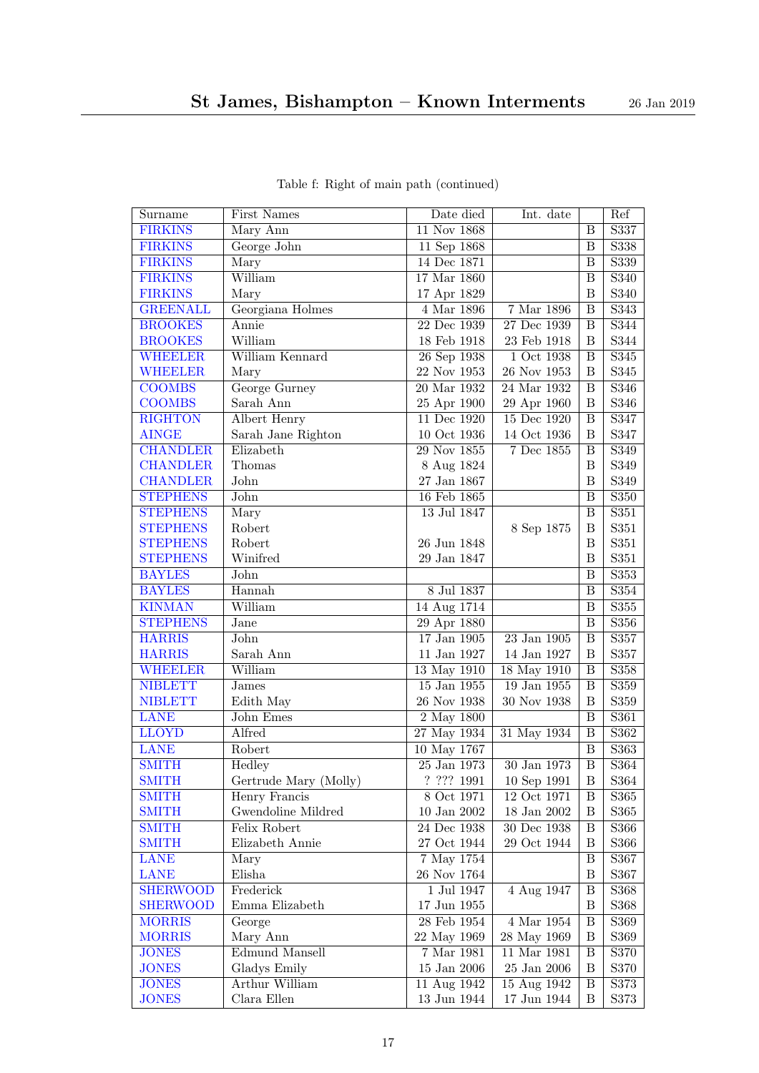<span id="page-16-29"></span><span id="page-16-28"></span><span id="page-16-27"></span><span id="page-16-26"></span><span id="page-16-25"></span><span id="page-16-24"></span><span id="page-16-23"></span><span id="page-16-22"></span><span id="page-16-21"></span><span id="page-16-20"></span><span id="page-16-19"></span><span id="page-16-18"></span><span id="page-16-17"></span><span id="page-16-16"></span><span id="page-16-15"></span><span id="page-16-14"></span><span id="page-16-13"></span><span id="page-16-12"></span><span id="page-16-11"></span><span id="page-16-10"></span><span id="page-16-9"></span><span id="page-16-8"></span><span id="page-16-7"></span><span id="page-16-6"></span><span id="page-16-5"></span><span id="page-16-4"></span><span id="page-16-3"></span><span id="page-16-2"></span><span id="page-16-1"></span><span id="page-16-0"></span>

| Surname                            | First Names           | Date died                 | Int. date         |                              | Ref               |
|------------------------------------|-----------------------|---------------------------|-------------------|------------------------------|-------------------|
| <b>FIRKINS</b>                     | Mary Ann              | 11 Nov 1868               |                   | B                            | S337              |
| <b>FIRKINS</b>                     | George John           | 11 Sep 1868               |                   | B                            | S338              |
| <b>FIRKINS</b>                     | Mary                  | $14$ Dec 1871             |                   | B                            | S339              |
| <b>FIRKINS</b>                     | William               | 17 Mar 1860               |                   | $\overline{\mathbf{B}}$      | S340              |
| <b>FIRKINS</b>                     | Mary                  | 17 Apr 1829               |                   | B                            | S340              |
| <b>GREENALL</b>                    | Georgiana Holmes      | 4 Mar 1896                | 7 Mar 1896        | $\boldsymbol{B}$             | $\overline{S34}3$ |
| <b>BROOKES</b>                     | Annie                 | 22 Dec 1939               | 27 Dec 1939       | $\overline{\mathbf{B}}$      | S344              |
| <b>BROOKES</b>                     | William               | 18 Feb 1918               | 23 Feb 1918       | $\boldsymbol{B}$             | S344              |
| <b>WHEELER</b>                     | William Kennard       | 26 Sep 1938               | $1$ Oct $1938$    | B                            | $\overline{S345}$ |
| <b>WHEELER</b>                     | Mary                  | 22 Nov 1953               | $26$ Nov $1953\,$ | $\, {\bf B}$                 | S345              |
| <b>COOMBS</b>                      | George Gurney         | 20 Mar 1932               | 24 Mar 1932       | B                            | S346              |
| <b>COOMBS</b>                      | Sarah Ann             | 25 Apr 1900               | 29 Apr 1960       | $\, {\bf B}$                 | S346              |
| <b>RIGHTON</b>                     | Albert Henry          | 11 Dec 1920               | 15 Dec 1920       | $\overline{B}$               | S347              |
| <b>AINGE</b>                       | Sarah Jane Righton    | 10 Oct 1936               | 14 Oct 1936       | $\, {\bf B}$                 | S347              |
| <b>CHANDLER</b>                    | Elizabeth             | $\overline{29}$ Nov 1855  | $7$ Dec $1855\,$  | B                            | S349              |
| <b>CHANDLER</b>                    | Thomas                | 8 Aug 1824                |                   | B                            | S349              |
| <b>CHANDLER</b>                    | John                  | 27 Jan 1867               |                   | $\overline{B}$               | S349              |
| <b>STEPHENS</b>                    | John                  | 16 Feb 1865               |                   | $\overline{B}$               | S350              |
| <b>STEPHENS</b>                    | Mary                  | 13 Jul 1847               |                   | B                            | S351              |
| <b>STEPHENS</b>                    | Robert                |                           | 8 Sep 1875        | $\boldsymbol{B}$             | S351              |
| <b>STEPHENS</b>                    | Robert                | 26 Jun 1848               |                   | $\overline{B}$               | S351              |
| <b>STEPHENS</b>                    | Winifred              | 29 Jan 1847               |                   | $\overline{B}$               | S351              |
| <b>BAYLES</b>                      | John                  |                           |                   | B                            | S353              |
| <b>BAYLES</b>                      | Hannah                | 8 Jul 1837                |                   | $\overline{\mathbf{B}}$      | S354              |
| <b>KINMAN</b>                      | William               | 14 Aug 1714               |                   | $\boldsymbol{B}$             | $\mathbf{S}355$   |
| <b>STEPHENS</b>                    | Jane                  | 29 Apr 1880               |                   | $\overline{\mathbf{B}}$      | S356              |
| <b>HARRIS</b>                      | John                  | 17 Jan 1905               | 23 Jan 1905       | B                            | S357              |
| <b>HARRIS</b>                      | Sarah Ann             | 11 Jan 1927               | 14 Jan 1927       | $\boldsymbol{B}$             | S357              |
| <b>WHEELER</b>                     | William               | 13 May 1910               | 18 May 1910       | $\overline{\mathbf{B}}$      | S358              |
| <b>NIBLETT</b>                     | <b>James</b>          | 15 Jan 1955               | 19 Jan 1955       | B                            | S359              |
| <b>NIBLETT</b>                     | Edith May             | 26 Nov 1938               | 30 Nov 1938       | $\boldsymbol{B}$             | $\mathbf{S}359$   |
| <b>LANE</b>                        | John Emes             | $\overline{2}$ May 1800   |                   | B                            | S361              |
| <b>LLOYD</b>                       | Alfred                | 27 May 1934               | 31 May 1934       | $\, {\bf B}$                 | S362              |
| <b>LANE</b>                        | Robert                | 10 May 1767               |                   | B                            | S363              |
| <b>SMITH</b>                       | Hedley                | 25 Jan 1973               | 30 Jan 1973       | $\overline{B}$               | S364              |
| <b>SMITH</b>                       | Gertrude Mary (Molly) | ? ??? 1991                | 10 Sep 1991       | $\, {\bf B}$                 | S364              |
| <b>SMITH</b>                       | Henry Francis         | 8 Oct 1971                | 12 Oct 1971       | B                            | S365              |
| <b>SMITH</b>                       | Gwendoline Mildred    | $10$ Jan $2002\,$         | $18$ Jan $2002\,$ | $\, {\bf B}$                 | S365              |
| <b>SMITH</b>                       | Felix Robert          | $24$ Dec $1938\,$         | 30 Dec 1938       | $\, {\bf B}$                 | S366              |
| <b>SMITH</b>                       | Elizabeth Annie       | 27 Oct 1944               | 29 Oct 1944       | B                            | S366              |
| <b>LANE</b>                        | Mary                  | 7 May 1754                |                   | B                            | S367              |
| LANE                               | Elisha<br>Frederick   | 26 Nov 1764<br>1 Jul 1947 | 4 Aug 1947        | B                            | S367              |
| <b>SHERWOOD</b><br><b>SHERWOOD</b> | Emma Elizabeth        | 17 Jun 1955               |                   | $\, {\bf B}$<br>$\, {\bf B}$ | S368<br>S368      |
| <b>MORRIS</b>                      |                       | 28 Feb 1954               | $4$ Mar $1954\,$  | $\, {\bf B}$                 | S369              |
| <b>MORRIS</b>                      | George<br>Mary Ann    | 22 May 1969               | 28 May 1969       | $\boldsymbol{B}$             | S369              |
| <b>JONES</b>                       | Edmund Mansell        | 7 Mar 1981                | 11 Mar 1981       | $\, {\bf B}$                 | S370              |
| <b>JONES</b>                       | Gladys Emily          | $15$ Jan $2006$           | $25$ Jan $2006\,$ | $\, {\bf B}$                 | S370              |
| <b>JONES</b>                       | Arthur William        | 11 Aug 1942               | 15 Aug 1942       | $\, {\bf B}$                 | S373              |
| <b>JONES</b>                       | Clara Ellen           | $13$ Jun $1944\,$         | 17 Jun 1944       | $\, {\bf B}$                 | S373              |

Table f: Right of main path (continued)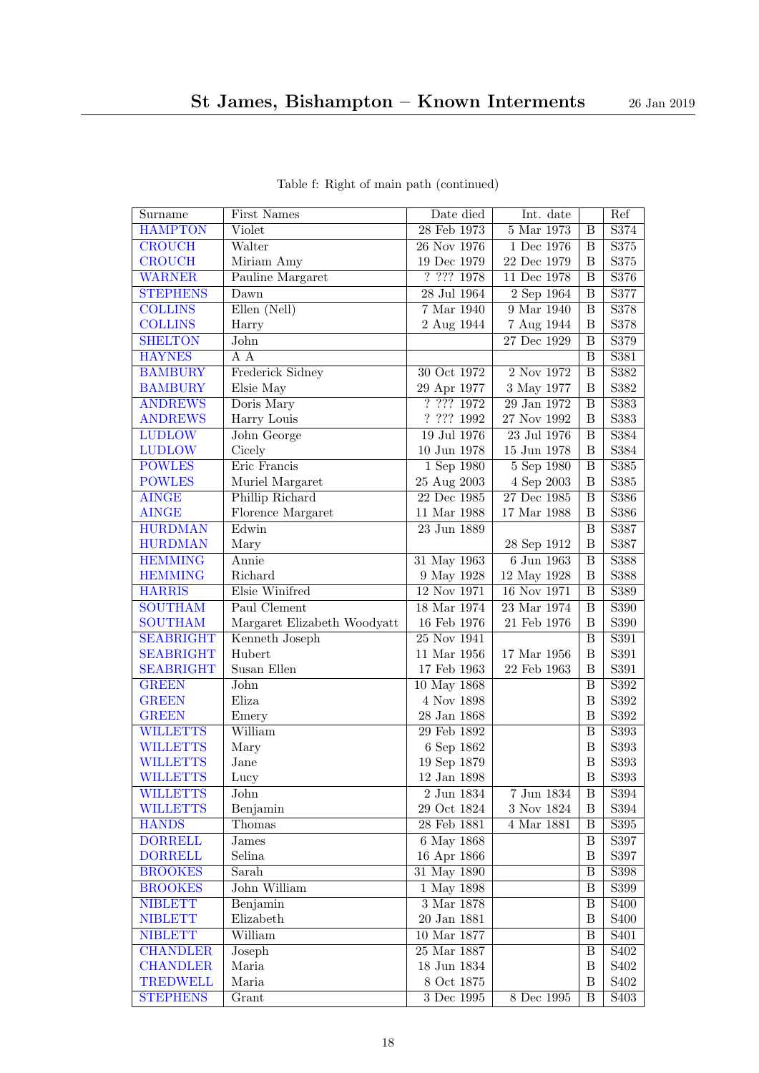<span id="page-17-27"></span><span id="page-17-26"></span><span id="page-17-25"></span><span id="page-17-24"></span><span id="page-17-23"></span><span id="page-17-22"></span><span id="page-17-21"></span><span id="page-17-20"></span><span id="page-17-19"></span><span id="page-17-18"></span><span id="page-17-17"></span><span id="page-17-16"></span><span id="page-17-15"></span><span id="page-17-14"></span><span id="page-17-13"></span><span id="page-17-12"></span><span id="page-17-11"></span><span id="page-17-10"></span><span id="page-17-9"></span><span id="page-17-8"></span><span id="page-17-7"></span><span id="page-17-6"></span><span id="page-17-5"></span><span id="page-17-4"></span><span id="page-17-3"></span><span id="page-17-2"></span><span id="page-17-1"></span><span id="page-17-0"></span>

| Surname          | First Names                 | Date died                                     | Int. date      |                         | Ref                           |
|------------------|-----------------------------|-----------------------------------------------|----------------|-------------------------|-------------------------------|
| <b>HAMPTON</b>   | $\overline{\text{V}}$ iolet | 28 Feb 1973                                   | $5$ Mar $1973$ | B                       | S374                          |
| <b>CROUCH</b>    | Walter                      | 26 Nov 1976                                   | 1 Dec 1976     | B                       | S375                          |
| <b>CROUCH</b>    | Miriam Amy                  | $19$ Dec $1979\,$                             | 22 Dec 1979    | B                       | S375                          |
| <b>WARNER</b>    | Pauline Margaret            | ? ? ? ? 1978                                  | 11 Dec 1978    | B                       | S376                          |
| <b>STEPHENS</b>  | Dawn                        | 28 Jul 1964                                   | 2 Sep 1964     | B                       | S377                          |
| <b>COLLINS</b>   | Ellen (Nell)                | $7$ Mar $1940\,$                              | 9 Mar 1940     | B                       | S378                          |
| <b>COLLINS</b>   | Harry                       | 2 Aug 1944                                    | 7 Aug 1944     | B                       | S378                          |
| <b>SHELTON</b>   | John                        |                                               | 27 Dec 1929    | B                       | S379                          |
| <b>HAYNES</b>    | $\overline{A} \overline{A}$ |                                               |                | B                       | S381                          |
| <b>BAMBURY</b>   | Frederick Sidney            | 30 Oct 1972                                   | 2 Nov 1972     | B                       | S382                          |
| <b>BAMBURY</b>   | Elsie May                   | 29 Apr 1977                                   | 3 May 1977     | B                       | S382                          |
| <b>ANDREWS</b>   | Doris Mary                  | 7.7771972                                     | 29 Jan 1972    | $\overline{\mathbf{B}}$ | S383                          |
| <b>ANDREWS</b>   | Harry Louis                 | ? ? ? ? 1992                                  | 27 Nov 1992    | B                       | S383                          |
| <b>LUDLOW</b>    | John George                 | 19 Jul 1976                                   | 23 Jul 1976    | B                       | S384                          |
| <b>LUDLOW</b>    | Cicely                      | $10$ Jun $1978\,$                             | 15 Jun 1978    | $\boldsymbol{B}$        | S384                          |
| <b>POWLES</b>    | Eric Francis                | $1$ Sep $1980$                                | 5 Sep 1980     | B                       | S385                          |
| <b>POWLES</b>    | Muriel Margaret             | 25 Aug 2003                                   | 4 Sep 2003     | B                       | S385                          |
| <b>AINGE</b>     | Phillip Richard             | $22\,\ensuremath{\, \mathrm{Dec}}\,$ $1985\,$ | 27 Dec 1985    | B                       | S386                          |
| <b>AINGE</b>     | Florence Margaret           | 11 Mar 1988                                   | 17 Mar 1988    | B                       | S386                          |
| <b>HURDMAN</b>   | Edwin                       | 23 Jun 1889                                   |                | B                       | S387                          |
| <b>HURDMAN</b>   | Mary                        |                                               | 28 Sep 1912    | B                       | S387                          |
| <b>HEMMING</b>   | Annie                       | $31$ May $1963$                               | 6 Jun 1963     | $\overline{\mathbf{B}}$ | S388                          |
| <b>HEMMING</b>   | Richard                     | 9 May 1928                                    | 12 May 1928    | B                       | $\mathbf{S}388$               |
| <b>HARRIS</b>    | Elsie Winifred              | 12 Nov 1971                                   | 16 Nov 1971    | $\overline{B}$          | S389                          |
| <b>SOUTHAM</b>   | Paul Clement                | 18 Mar 1974                                   | 23 Mar 1974    | $\overline{\mathbf{B}}$ | S390                          |
| <b>SOUTHAM</b>   | Margaret Elizabeth Woodyatt | 16 Feb 1976                                   | 21 Feb 1976    | $\overline{B}$          | $\rm S390$                    |
| <b>SEABRIGHT</b> | Kenneth Joseph              | 25 Nov 1941                                   |                | B                       | S391                          |
| <b>SEABRIGHT</b> | Hubert                      | 11 Mar 1956                                   | 17 Mar 1956    | B                       | S391                          |
| <b>SEABRIGHT</b> | Susan Ellen                 | 17 Feb 1963                                   | 22 Feb 1963    | B                       | S391                          |
| <b>GREEN</b>     | John                        | 10 May 1868                                   |                | B                       | S392                          |
| <b>GREEN</b>     | Eliza                       | 4 Nov 1898                                    |                | B                       | S392                          |
| <b>GREEN</b>     | Emery                       | 28 Jan 1868                                   |                | B                       | S392                          |
| <b>WILLETTS</b>  | William                     | 29 Feb 1892                                   |                | B                       | S393                          |
| <b>WILLETTS</b>  | Mary                        | 6 Sep 1862                                    |                | B                       | S393                          |
| <b>WILLETTS</b>  | Jane                        | 19 Sep 1879                                   |                | $\boldsymbol{B}$        | S393                          |
| <b>WILLETTS</b>  | Lucy                        | $12$ Jan $1898\,$                             |                | $\, {\bf B}$            | S393                          |
| <b>WILLETTS</b>  | John                        | 2 Jun 1834                                    | 7 Jun 1834     | Β                       | S394                          |
| <b>WILLETTS</b>  | Benjamin                    | $29$ Oct $1824\,$                             | 3 Nov 1824     | Β                       | S394                          |
| <b>HANDS</b>     | Thomas                      | 28 Feb 1881                                   | 4 Mar 1881     | $\, {\bf B}$            | S395                          |
| <b>DORRELL</b>   | <b>James</b>                | 6 May 1868                                    |                | $\, {\bf B}$            | S397                          |
| <b>DORRELL</b>   | Selina                      | 16 Apr 1866                                   |                | Β                       | S397                          |
| <b>BROOKES</b>   | Sarah                       | 31 May 1890                                   |                | $\, {\bf B}$            | S398                          |
| <b>BROOKES</b>   | John William                | $\overline{1$ May 1898                        |                | $\, {\bf B}$            | S399                          |
| <b>NIBLETT</b>   | Benjamin                    | $3$ Mar $1878$                                |                | Β                       | <b>S400</b>                   |
| <b>NIBLETT</b>   | Elizabeth                   | $20$ Jan $1881$                               |                | $\, {\bf B}$            | <b>S400</b>                   |
| <b>NIBLETT</b>   | William                     | $10$ Mar $1877\,$                             |                | $\, {\bf B}$            | S <sub>401</sub>              |
| <b>CHANDLER</b>  | Joseph                      | $25\ \mathrm{Mar}\ 1887$                      |                | $\, {\bf B}$            | S <sub>402</sub>              |
| <b>CHANDLER</b>  | Maria                       | 18 Jun 1834                                   |                | $\, {\bf B}$            | S <sub>402</sub>              |
| <b>TREDWELL</b>  | Maria                       | 8 Oct 1875                                    |                | $\boldsymbol{B}$        | S <sub>4</sub> 0 <sub>2</sub> |
| <b>STEPHENS</b>  | $\overline{G}$ rant         | $3$ Dec $1995\,$                              | 8 Dec 1995     | B                       | S <sub>403</sub>              |

Table f: Right of main path (continued)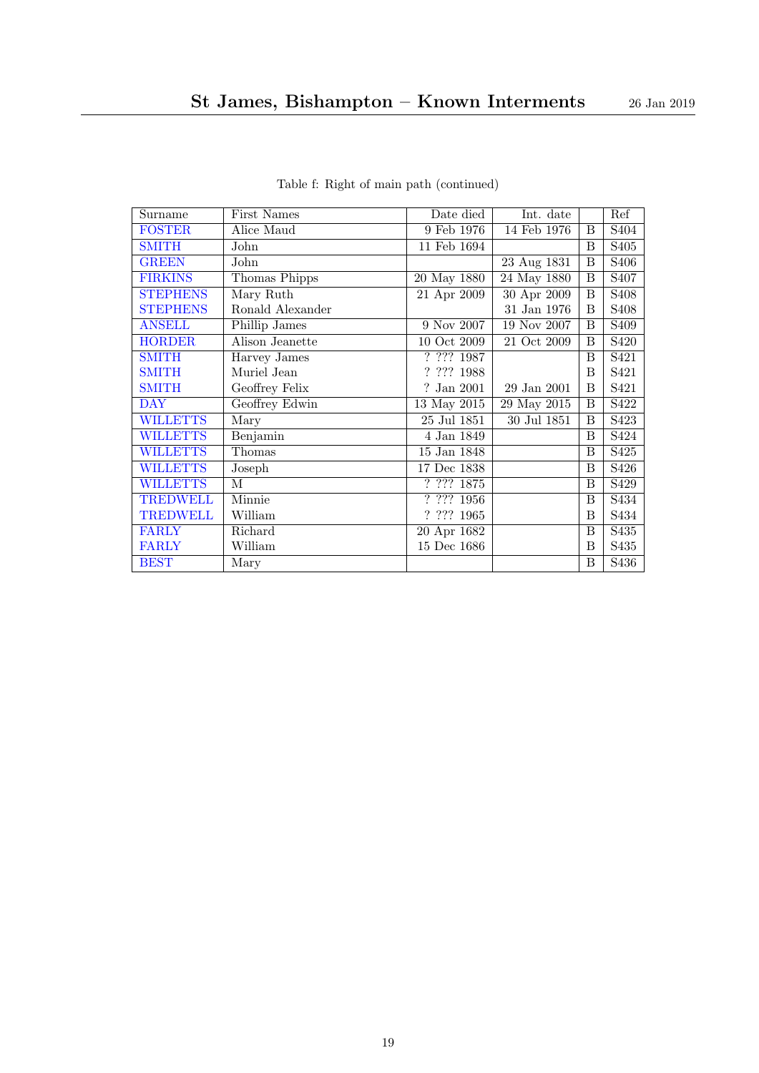<span id="page-18-16"></span><span id="page-18-15"></span><span id="page-18-14"></span><span id="page-18-13"></span><span id="page-18-12"></span><span id="page-18-11"></span><span id="page-18-10"></span><span id="page-18-9"></span><span id="page-18-8"></span><span id="page-18-7"></span><span id="page-18-6"></span><span id="page-18-5"></span><span id="page-18-4"></span><span id="page-18-3"></span><span id="page-18-2"></span><span id="page-18-1"></span><span id="page-18-0"></span>

| Surname         | First Names      | Date died                                                        | Int. date         |   | Ref               |
|-----------------|------------------|------------------------------------------------------------------|-------------------|---|-------------------|
| <b>FOSTER</b>   | Alice Maud       | 9 Feb 1976                                                       | 14 Feb 1976       | B | S <sub>404</sub>  |
| <b>SMITH</b>    | John             | 11 Feb 1694                                                      |                   | B | S <sub>405</sub>  |
| <b>GREEN</b>    | John             |                                                                  | 23 Aug 1831       | B | S <sub>406</sub>  |
| <b>FIRKINS</b>  | Thomas Phipps    | 20 May 1880                                                      | 24 May 1880       | B | S <sub>40</sub> 7 |
| <b>STEPHENS</b> | Mary Ruth        | 21 Apr 2009                                                      | 30 Apr 2009       | B | S <sub>408</sub>  |
| <b>STEPHENS</b> | Ronald Alexander |                                                                  | $31$ Jan $1976\,$ | B | S <sub>408</sub>  |
| <b>ANSELL</b>   | Phillip James    | 9 Nov 2007                                                       | $19$ Nov 2007     | B | S <sub>409</sub>  |
| <b>HORDER</b>   | Alison Jeanette  | 10 Oct 2009                                                      | 21 Oct 2009       | B | S420              |
| <b>SMITH</b>    | Harvey James     | $\frac{1}{2}$ ??? 1987                                           |                   | B | S421              |
| <b>SMITH</b>    | Muriel Jean      | ? ? ? ? 1988                                                     |                   | B | S421              |
| <b>SMITH</b>    | Geoffrey Felix   | $?$ Jan $2001\,$                                                 | 29 Jan 2001       | B | S421              |
| <b>DAY</b>      | Geoffrey Edwin   | 13 May 2015                                                      | 29 May 2015       | B | S422              |
| <b>WILLETTS</b> | Mary             | $25$ Jul $1851\,$                                                | 30 Jul 1851       | B | S423              |
| <b>WILLETTS</b> | Benjamin         | 4 Jan 1849                                                       |                   | B | S424              |
| <b>WILLETTS</b> | Thomas           | 15 Jan 1848                                                      |                   | B | S425              |
| <b>WILLETTS</b> | Joseph           | 17 Dec 1838                                                      |                   | B | S426              |
| <b>WILLETTS</b> | М                | $\overline{?}\ \overline{?}\ \overline{?}\ \overline{?}\ \ 1875$ |                   | B | S429              |
| <b>TREDWELL</b> | Minnie           | ? ? ? ? 1956                                                     |                   | B | S434              |
| <b>TREDWELL</b> | William          | ? ? ? ? 1965                                                     |                   | B | S434              |
| <b>FARLY</b>    | Richard          | 20 Apr 1682                                                      |                   | B | S <sub>4</sub> 35 |
| <b>FARLY</b>    | William          | 15 Dec 1686                                                      |                   | B | S435              |
| <b>BEST</b>     | Mary             |                                                                  |                   | B | $\overline{S}436$ |

Table f: Right of main path (continued)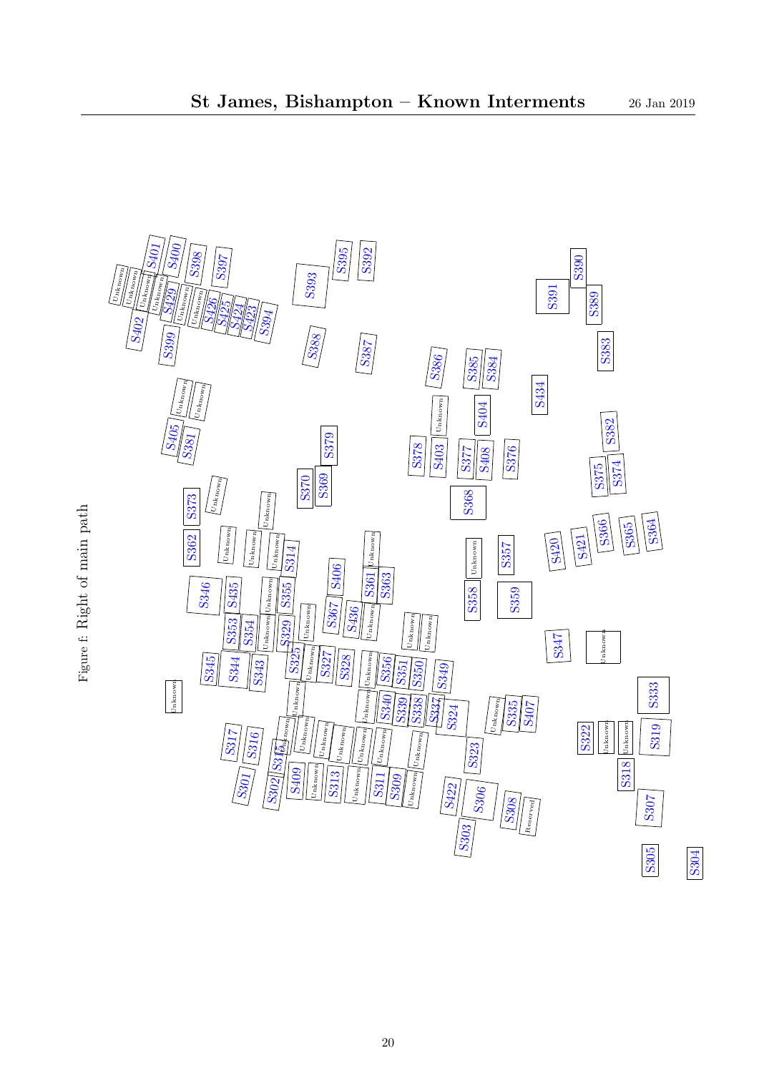<span id="page-19-202"></span><span id="page-19-201"></span><span id="page-19-200"></span><span id="page-19-199"></span><span id="page-19-198"></span><span id="page-19-197"></span><span id="page-19-196"></span><span id="page-19-195"></span><span id="page-19-194"></span><span id="page-19-193"></span><span id="page-19-192"></span><span id="page-19-191"></span><span id="page-19-190"></span><span id="page-19-189"></span><span id="page-19-188"></span><span id="page-19-187"></span><span id="page-19-186"></span><span id="page-19-185"></span><span id="page-19-184"></span><span id="page-19-183"></span><span id="page-19-182"></span><span id="page-19-181"></span><span id="page-19-180"></span><span id="page-19-179"></span><span id="page-19-178"></span><span id="page-19-177"></span><span id="page-19-176"></span><span id="page-19-175"></span><span id="page-19-174"></span><span id="page-19-173"></span><span id="page-19-172"></span><span id="page-19-171"></span><span id="page-19-170"></span><span id="page-19-169"></span><span id="page-19-168"></span><span id="page-19-167"></span><span id="page-19-166"></span><span id="page-19-165"></span><span id="page-19-164"></span><span id="page-19-163"></span><span id="page-19-162"></span><span id="page-19-161"></span><span id="page-19-160"></span><span id="page-19-159"></span><span id="page-19-158"></span><span id="page-19-157"></span><span id="page-19-156"></span><span id="page-19-155"></span><span id="page-19-154"></span><span id="page-19-153"></span><span id="page-19-152"></span><span id="page-19-151"></span><span id="page-19-150"></span><span id="page-19-149"></span><span id="page-19-148"></span><span id="page-19-147"></span><span id="page-19-146"></span><span id="page-19-145"></span><span id="page-19-144"></span><span id="page-19-143"></span><span id="page-19-142"></span><span id="page-19-141"></span><span id="page-19-140"></span><span id="page-19-139"></span><span id="page-19-138"></span><span id="page-19-137"></span><span id="page-19-136"></span><span id="page-19-135"></span><span id="page-19-134"></span><span id="page-19-133"></span><span id="page-19-132"></span><span id="page-19-131"></span><span id="page-19-130"></span><span id="page-19-129"></span><span id="page-19-128"></span><span id="page-19-127"></span><span id="page-19-126"></span><span id="page-19-125"></span><span id="page-19-124"></span><span id="page-19-123"></span><span id="page-19-122"></span><span id="page-19-121"></span><span id="page-19-120"></span><span id="page-19-119"></span><span id="page-19-118"></span><span id="page-19-117"></span><span id="page-19-116"></span><span id="page-19-115"></span><span id="page-19-114"></span><span id="page-19-113"></span><span id="page-19-112"></span><span id="page-19-111"></span><span id="page-19-110"></span><span id="page-19-109"></span><span id="page-19-108"></span><span id="page-19-107"></span><span id="page-19-106"></span><span id="page-19-105"></span><span id="page-19-104"></span><span id="page-19-103"></span><span id="page-19-102"></span><span id="page-19-101"></span><span id="page-19-100"></span><span id="page-19-99"></span><span id="page-19-98"></span><span id="page-19-97"></span><span id="page-19-96"></span><span id="page-19-95"></span><span id="page-19-94"></span><span id="page-19-93"></span><span id="page-19-92"></span><span id="page-19-91"></span><span id="page-19-90"></span><span id="page-19-89"></span><span id="page-19-88"></span><span id="page-19-87"></span><span id="page-19-86"></span><span id="page-19-85"></span><span id="page-19-84"></span><span id="page-19-83"></span><span id="page-19-82"></span><span id="page-19-81"></span><span id="page-19-80"></span><span id="page-19-79"></span><span id="page-19-78"></span><span id="page-19-77"></span><span id="page-19-76"></span><span id="page-19-75"></span><span id="page-19-74"></span><span id="page-19-73"></span><span id="page-19-72"></span><span id="page-19-71"></span><span id="page-19-70"></span><span id="page-19-69"></span><span id="page-19-68"></span><span id="page-19-67"></span><span id="page-19-66"></span><span id="page-19-65"></span><span id="page-19-64"></span><span id="page-19-63"></span><span id="page-19-62"></span><span id="page-19-61"></span><span id="page-19-60"></span><span id="page-19-59"></span><span id="page-19-58"></span><span id="page-19-57"></span><span id="page-19-56"></span><span id="page-19-55"></span><span id="page-19-54"></span><span id="page-19-53"></span><span id="page-19-52"></span><span id="page-19-51"></span><span id="page-19-50"></span><span id="page-19-49"></span><span id="page-19-48"></span><span id="page-19-47"></span><span id="page-19-46"></span><span id="page-19-45"></span><span id="page-19-44"></span><span id="page-19-43"></span><span id="page-19-42"></span><span id="page-19-41"></span><span id="page-19-40"></span><span id="page-19-39"></span><span id="page-19-38"></span><span id="page-19-37"></span><span id="page-19-36"></span><span id="page-19-35"></span><span id="page-19-34"></span><span id="page-19-33"></span><span id="page-19-32"></span><span id="page-19-31"></span><span id="page-19-30"></span><span id="page-19-29"></span><span id="page-19-28"></span><span id="page-19-27"></span><span id="page-19-26"></span><span id="page-19-25"></span><span id="page-19-24"></span><span id="page-19-23"></span><span id="page-19-22"></span><span id="page-19-21"></span><span id="page-19-20"></span><span id="page-19-19"></span><span id="page-19-18"></span><span id="page-19-17"></span><span id="page-19-16"></span><span id="page-19-15"></span><span id="page-19-14"></span><span id="page-19-13"></span><span id="page-19-12"></span><span id="page-19-11"></span><span id="page-19-10"></span><span id="page-19-9"></span><span id="page-19-8"></span><span id="page-19-7"></span><span id="page-19-6"></span><span id="page-19-5"></span><span id="page-19-4"></span><span id="page-19-3"></span><span id="page-19-2"></span><span id="page-19-1"></span><span id="page-19-0"></span>

Figure f: Right of main path Figure f: Right of main path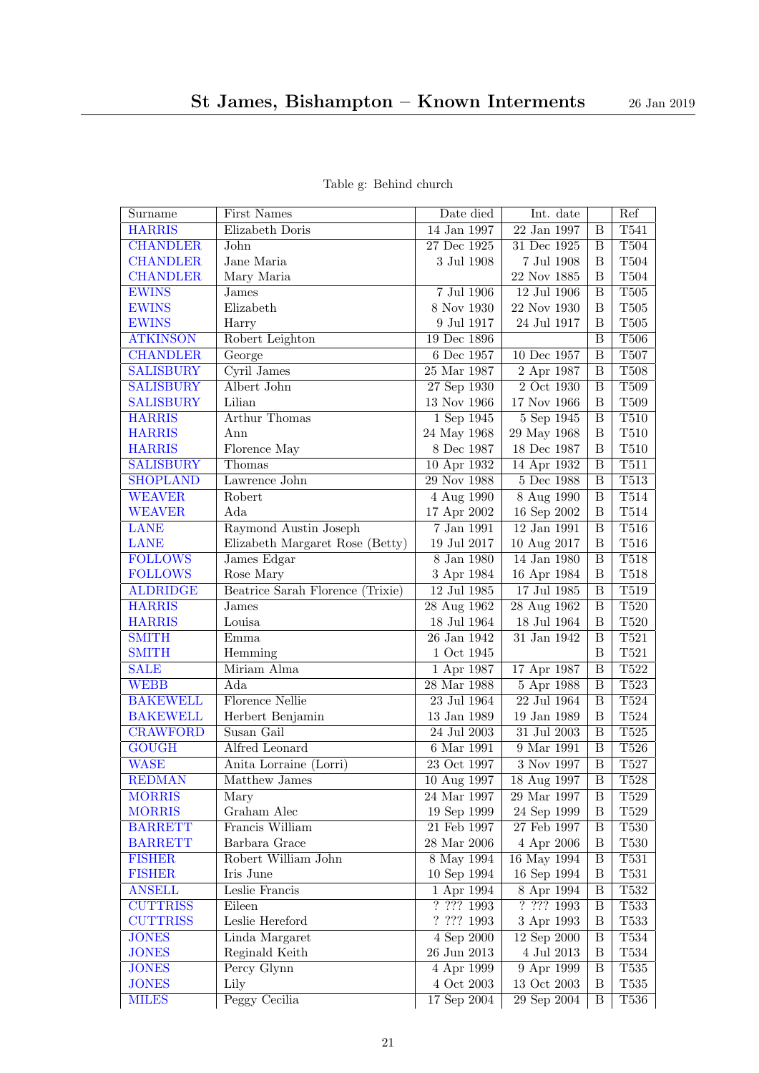<span id="page-20-31"></span><span id="page-20-30"></span><span id="page-20-29"></span><span id="page-20-28"></span><span id="page-20-27"></span><span id="page-20-26"></span><span id="page-20-25"></span><span id="page-20-24"></span><span id="page-20-23"></span><span id="page-20-22"></span><span id="page-20-21"></span><span id="page-20-20"></span><span id="page-20-19"></span><span id="page-20-18"></span><span id="page-20-17"></span><span id="page-20-16"></span><span id="page-20-15"></span><span id="page-20-14"></span><span id="page-20-13"></span><span id="page-20-12"></span><span id="page-20-11"></span><span id="page-20-10"></span><span id="page-20-9"></span><span id="page-20-8"></span><span id="page-20-7"></span><span id="page-20-6"></span><span id="page-20-5"></span><span id="page-20-4"></span><span id="page-20-3"></span><span id="page-20-2"></span><span id="page-20-1"></span><span id="page-20-0"></span>

| Surname          | First Names                      | Date died                | Int. date                        |                         | Ref              |
|------------------|----------------------------------|--------------------------|----------------------------------|-------------------------|------------------|
| <b>HARRIS</b>    | Elizabeth Doris                  | 14 Jan 1997              | 22 Jan 1997                      | B                       | T541             |
| <b>CHANDLER</b>  | John                             | 27 Dec 1925              | 31 Dec 1925                      | B                       | T504             |
| <b>CHANDLER</b>  | Jane Maria                       | 3 Jul 1908               | 7 Jul 1908                       | $\boldsymbol{B}$        | T504             |
| <b>CHANDLER</b>  | Mary Maria                       |                          | 22 Nov 1885                      | $\boldsymbol{B}$        | T504             |
| <b>EWINS</b>     | James                            | 7 Jul 1906               | $12$ Jul 1906                    | B                       | T <sub>505</sub> |
| <b>EWINS</b>     | Elizabeth                        | $8$ Nov $1930\,$         | 22 Nov 1930                      | B                       | $\rm T505$       |
| <b>EWINS</b>     | Harry                            | 9 Jul 1917               | 24 Jul 1917                      | B                       | $\rm T505$       |
| <b>ATKINSON</b>  | Robert Leighton                  | 19 Dec 1896              |                                  | $\overline{\mathbf{B}}$ | T506             |
| <b>CHANDLER</b>  | George                           | 6 Dec 1957               | 10 Dec 1957                      | B                       | T <sub>507</sub> |
| <b>SALISBURY</b> | Cyril James                      | 25 Mar 1987              | 2 Apr 1987                       | B                       | T508             |
| <b>SALISBURY</b> | Albert John                      | 27 Sep 1930              | 2 Oct 1930                       | B                       | T509             |
| <b>SALISBURY</b> | Lilian                           | 13 Nov 1966              | 17 Nov 1966                      | $\, {\bf B}$            | T509             |
| <b>HARRIS</b>    | <b>Arthur Thomas</b>             | 1 Sep 1945               | $5 \overline{\mathrm{Sep} 1945}$ | $\overline{\mathbf{B}}$ | <b>T510</b>      |
| <b>HARRIS</b>    | Ann                              | 24 May 1968              | 29 May 1968                      | $\, {\bf B}$            | $\rm T510$       |
| <b>HARRIS</b>    | Florence May                     | 8 Dec 1987               | 18 Dec 1987                      | B                       | $\rm T510$       |
| <b>SALISBURY</b> | Thomas                           | 10 Apr 1932              | 14 Apr 1932                      | B                       | T511             |
| <b>SHOPLAND</b>  | Lawrence John                    | $29$ Nov 1988            | 5 Dec 1988                       | $\overline{B}$          | T513             |
| <b>WEAVER</b>    | Robert                           | 4 Aug 1990               | 8 Aug 1990                       | $\, {\bf B}$            | T514             |
| <b>WEAVER</b>    | Ada                              | 17 Apr 2002              | 16 Sep 2002                      | $\boldsymbol{B}$        | T514             |
| <b>LANE</b>      | Raymond Austin Joseph            | $7$ Jan $1991\,$         | 12 Jan 1991                      | B                       | <b>T516</b>      |
| <b>LANE</b>      | Elizabeth Margaret Rose (Betty)  | 19 Jul 2017              | 10 Aug 2017                      | $\, {\bf B}$            | $\rm T516$       |
| <b>FOLLOWS</b>   | James Edgar                      | $8$ Jan $1980$           | 14 Jan 1980                      | B                       | T518             |
| <b>FOLLOWS</b>   | Rose Mary                        | 3 Apr 1984               | 16 Apr 1984                      | $\boldsymbol{B}$        | $\rm T518$       |
| <b>ALDRIDGE</b>  | Beatrice Sarah Florence (Trixie) | $12$ Jul $1985\,$        | 17 Jul 1985                      | B                       | T519             |
| <b>HARRIS</b>    | James                            | 28 Aug 1962              | 28 Aug 1962                      | $\overline{\mathbf{B}}$ | T520             |
| <b>HARRIS</b>    | Louisa                           | 18 Jul 1964              | $18$ Jul $1964\,$                | B                       | $\rm T520$       |
| <b>SMITH</b>     | Emma                             | 26 Jan 1942              | 31 Jan 1942                      | B                       | T521             |
| <b>SMITH</b>     | Hemming                          | 1 Oct 1945               |                                  | $\boldsymbol{B}$        | T521             |
| <b>SALE</b>      | Miriam Alma                      | 1 Apr 1987               | 17 Apr 1987                      | $\overline{B}$          | T522             |
| <b>WEBB</b>      | Ada                              | $28\ \mathrm{Mar}\ 1988$ | 5 Apr 1988                       | B                       | T523             |
| <b>BAKEWELL</b>  | <b>Florence Nellie</b>           | 23 Jul 1964              | 22 Jul 1964                      | $\overline{\mathbf{B}}$ | <b>T524</b>      |
| <b>BAKEWELL</b>  | Herbert Benjamin                 | 13 Jan 1989              | 19 Jan 1989                      | $\boldsymbol{B}$        | T524             |
| <b>CRAWFORD</b>  | Susan Gail                       | $24$ Jul $2003\,$        | 31 Jul 2003                      | $\, {\bf B}$            | $\rm{T}525$      |
| <b>GOUGH</b>     | Alfred Leonard                   | 6 Mar 1991               | 9 Mar 1991                       | $\overline{B}$          | T526             |
| <b>WASE</b>      | Anita Lorraine (Lorri)           | $\overline{23}$ Oct 1997 | $\overline{3}$ Nov 1997          | $\, {\bf B}$            | T527             |
| <b>REDMAN</b>    | Matthew James                    | 10 Aug 1997              | 18 Aug 1997                      | $\overline{B}$          | T528             |
| <b>MORRIS</b>    | Mary                             | 24 Mar 1997              | 29 Mar 1997                      | B                       | T <sub>529</sub> |
| <b>MORRIS</b>    | Graham Alec                      | 19 Sep 1999              | 24 Sep 1999                      | B                       | $\rm{T}529$      |
| <b>BARRETT</b>   | Francis William                  | $21$ Feb $1997\,$        | $27$ Feb $1997\,$                | $\, {\bf B}$            | T <sub>530</sub> |
| <b>BARRETT</b>   | Barbara Grace                    | $28$ Mar $2006$          | 4 Apr 2006                       | B                       | T530             |
| <b>FISHER</b>    | Robert William John              | 8 May 1994               | 16 May 1994                      | $\boldsymbol{B}$        | T531             |
| <b>FISHER</b>    | Iris June                        | 10 Sep 1994              | 16 Sep 1994                      | $\boldsymbol{B}$        | T531             |
| <b>ANSELL</b>    | Leslie Francis                   | 1 Apr 1994               | 8 Apr 1994                       | $\boldsymbol{B}$        | T532             |
| <b>CUTTRISS</b>  | Eileen                           | ? ? ? ? 1993             | ? ? ? ? 1993                     | B                       | T533             |
| <b>CUTTRISS</b>  | Leslie Hereford                  | ? ? ? ? 1993             | 3 Apr 1993                       | B                       | T533             |
| <b>JONES</b>     | Linda Margaret                   | $4$ Sep $2000$           | $12$ Sep $2000$                  | B                       | T534             |
| <b>JONES</b>     | Reginald Keith                   | $26$ Jun $2013$          | $4$ Jul $2013$                   | $\boldsymbol{B}$        | T534             |
| <b>JONES</b>     | Percy Glynn                      | 4 Apr 1999               | 9 Apr 1999                       | $\, {\bf B}$            | T535             |
| <b>JONES</b>     | Lily                             | 4 Oct 2003               | 13 Oct 2003                      | $\boldsymbol{B}$        | T535             |
| <b>MILES</b>     | Peggy Cecilia                    | 17 Sep 2004              | $29$ Sep $2004$                  | $\, {\bf B}$            | T536             |

Table g: Behind church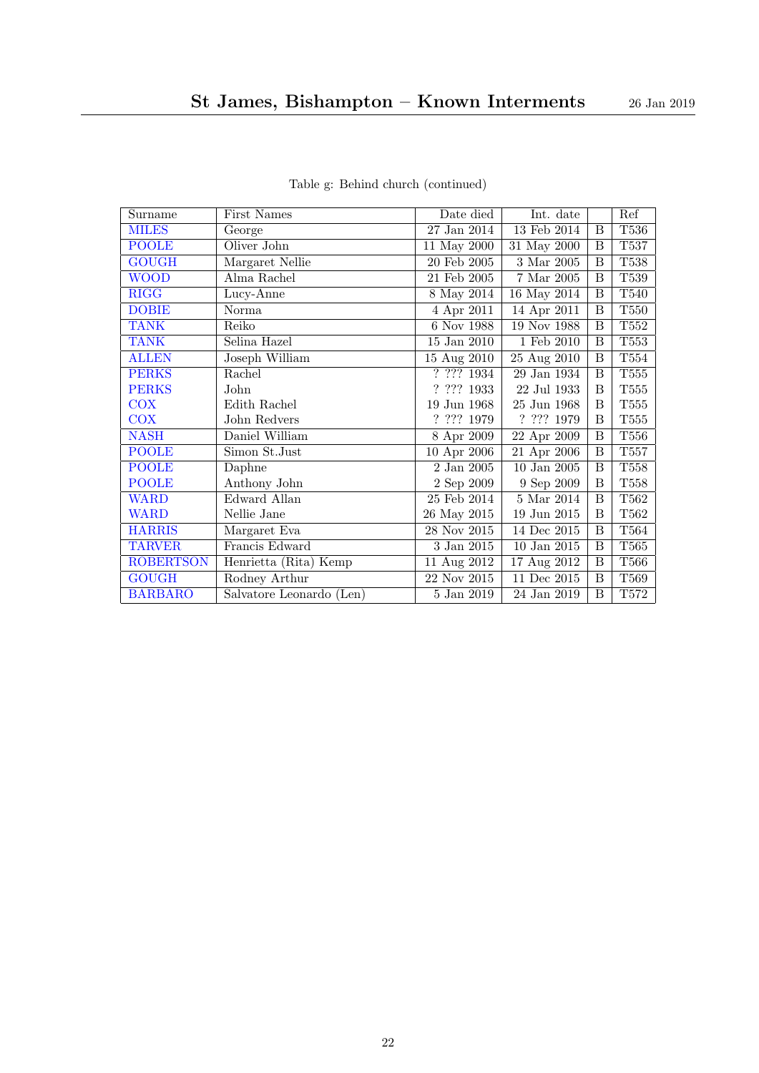<span id="page-21-17"></span><span id="page-21-16"></span><span id="page-21-15"></span><span id="page-21-14"></span><span id="page-21-13"></span><span id="page-21-12"></span><span id="page-21-11"></span><span id="page-21-10"></span><span id="page-21-9"></span><span id="page-21-8"></span><span id="page-21-7"></span><span id="page-21-6"></span><span id="page-21-5"></span><span id="page-21-4"></span><span id="page-21-3"></span><span id="page-21-2"></span><span id="page-21-1"></span><span id="page-21-0"></span>

| Surname                    | <b>First Names</b>       | Date died         | Int. date               |   | Ref         |
|----------------------------|--------------------------|-------------------|-------------------------|---|-------------|
| <b>MILES</b>               | George                   | $27$ Jan $2014\,$ | $13$ Feb $2014\,$       | B | T536        |
| <b>POOLE</b>               | Oliver John              | 11 May 2000       | 31 May 2000             | В | T537        |
| <b>GOUGH</b>               | Margaret Nellie          | $20$ Feb $2005$   | $\overline{3}$ Mar 2005 | В | $\rm{T}538$ |
| <b>WOOD</b>                | Alma Rachel              | 21 Feb 2005       | $7$ Mar $2005$          | B | T539        |
| $\overline{\mathrm{RIGG}}$ | Lucy-Anne                | 8 May 2014        | $16$ May $2014$         | B | T540        |
| <b>DOBIE</b>               | Norma                    | 4 Apr 2011        | 14 Apr 2011             | B | T550        |
| <b>TANK</b>                | Reiko                    | 6 Nov 1988        | 19 Nov 1988             | B | T552        |
| <b>TANK</b>                | Selina Hazel             | $15$ Jan $2010$   | 1 Feb 2010              | B | T553        |
| <b>ALLEN</b>               | Joseph William           | 15 Aug 2010       | 25 Aug 2010             | B | $\rm{T}554$ |
| <b>PERKS</b>               | Rachel                   | ? ? ? ? 1934      | 29 Jan 1934             | B | T555        |
| <b>PERKS</b>               | John                     | ? ? ? ? 1933      | 22 Jul 1933             | B | T555        |
| <b>COX</b>                 | Edith Rachel             | 19 Jun 1968       | 25 Jun 1968             | B | T555        |
| <b>COX</b>                 | John Redvers             | $?\ ????\ 1979$   | ? ? ? ? 1979            | B | $\rm{T}555$ |
| <b>NASH</b>                | Daniel William           | 8 Apr 2009        | 22 Apr 2009             | B | T556        |
| <b>POOLE</b>               | Simon St.Just            | 10 Apr 2006       | 21 Apr 2006             | B | $\rm{T}557$ |
| <b>POOLE</b>               | Daphne                   | 2 Jan 2005        | $10$ Jan $2005$         | B | T558        |
| <b>POOLE</b>               | Anthony John             | 2 Sep 2009        | 9 Sep 2009              | B | T558        |
| <b>WARD</b>                | Edward Allan             | 25 Feb 2014       | $5$ Mar $2014$          | B | T562        |
| <b>WARD</b>                | Nellie Jane              | 26 May 2015       | 19 Jun 2015             | B | T562        |
| <b>HARRIS</b>              | Margaret Eva             | 28 Nov 2015       | 14 Dec 2015             | B | T564        |
| <b>TARVER</b>              | Francis Edward           | $3$ Jan $2015\,$  | $10$ Jan $2015\,$       | B | <b>T565</b> |
| <b>ROBERTSON</b>           | Henrietta (Rita) Kemp    | 11 Aug 2012       | 17 Aug 2012             | B | T566        |
| <b>GOUGH</b>               | Rodney Arthur            | 22 Nov 2015       | $11$ Dec 2015           | B | T569        |
| <b>BARBARO</b>             | Salvatore Leonardo (Len) | 5 Jan 2019        | 24 Jan 2019             | B | T572        |

Table g: Behind church (continued)